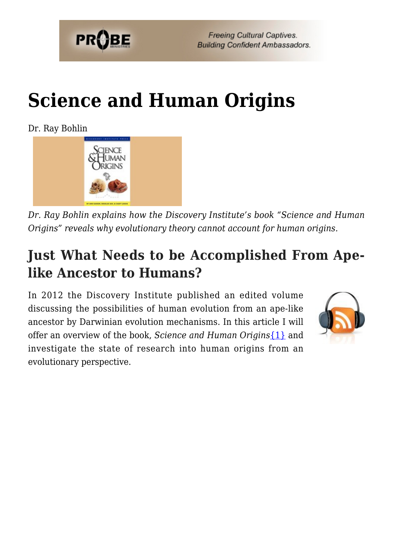

# **[Science and Human Origins](https://probe.org/science-and-human-origins/)**

Dr. Ray Bohlin



*Dr. Ray Bohlin explains how the Discovery Institute's book "Science and Human Origins" reveals why evolutionary theory cannot account for human origins.*

### **Just What Needs to be Accomplished From Apelike Ancestor to Humans?**

In 2012 the Discovery Institute published an edited volume discussing the possibilities of human evolution from an ape-like ancestor by Darwinian evolution mechanisms. In this article I will offer an overview of the book, *Science and Human Origins*[{1}](#page-80-0) and investigate the state of research into human origins from an evolutionary perspective.

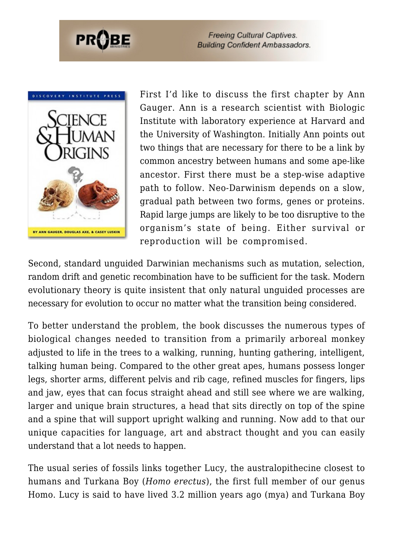



First I'd like to discuss the first chapter by Ann Gauger. Ann is a research scientist with Biologic Institute with laboratory experience at Harvard and the University of Washington. Initially Ann points out two things that are necessary for there to be a link by common ancestry between humans and some ape-like ancestor. First there must be a step-wise adaptive path to follow. Neo-Darwinism depends on a slow, gradual path between two forms, genes or proteins. Rapid large jumps are likely to be too disruptive to the organism's state of being. Either survival or reproduction will be compromised.

Second, standard unguided Darwinian mechanisms such as mutation, selection, random drift and genetic recombination have to be sufficient for the task. Modern evolutionary theory is quite insistent that only natural unguided processes are necessary for evolution to occur no matter what the transition being considered.

To better understand the problem, the book discusses the numerous types of biological changes needed to transition from a primarily arboreal monkey adjusted to life in the trees to a walking, running, hunting gathering, intelligent, talking human being. Compared to the other great apes, humans possess longer legs, shorter arms, different pelvis and rib cage, refined muscles for fingers, lips and jaw, eyes that can focus straight ahead and still see where we are walking, larger and unique brain structures, a head that sits directly on top of the spine and a spine that will support upright walking and running. Now add to that our unique capacities for language, art and abstract thought and you can easily understand that a lot needs to happen.

The usual series of fossils links together Lucy, the australopithecine closest to humans and Turkana Boy (*Homo erectus*), the first full member of our genus Homo. Lucy is said to have lived 3.2 million years ago (mya) and Turkana Boy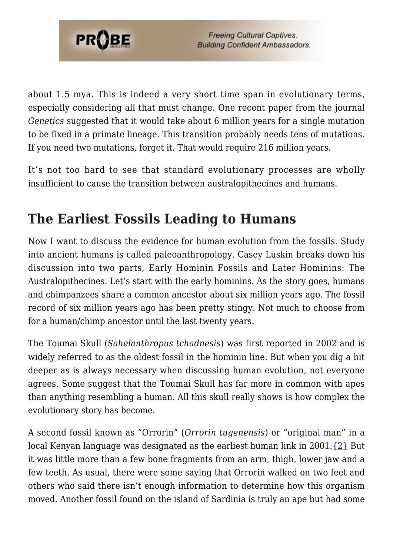

about 1.5 mya. This is indeed a very short time span in evolutionary terms, especially considering all that must change. One recent paper from the journal *Genetics* suggested that it would take about 6 million years for a single mutation to be fixed in a primate lineage. This transition probably needs tens of mutations. If you need two mutations, forget it. That would require 216 million years.

It's not too hard to see that standard evolutionary processes are wholly insufficient to cause the transition between australopithecines and humans.

### **The Earliest Fossils Leading to Humans**

Now I want to discuss the evidence for human evolution from the fossils. Study into ancient humans is called paleoanthropology. Casey Luskin breaks down his discussion into two parts, Early Hominin Fossils and Later Hominins: The Australopithecines. Let's start with the early hominins. As the story goes, humans and chimpanzees share a common ancestor about six million years ago. The fossil record of six million years ago has been pretty stingy. Not much to choose from for a human/chimp ancestor until the last twenty years.

The Toumai Skull (*Sahelanthropus tchadnesis*) was first reported in 2002 and is widely referred to as the oldest fossil in the hominin line. But when you dig a bit deeper as is always necessary when discussing human evolution, not everyone agrees. Some suggest that the Toumai Skull has far more in common with apes than anything resembling a human. All this skull really shows is how complex the evolutionary story has become.

A second fossil known as "Orrorin" (*Orrorin tugenensis*) or "original man" in a local Kenyan language was designated as the earliest human link in 2001. $\{2\}$  But it was little more than a few bone fragments from an arm, thigh, lower jaw and a few teeth. As usual, there were some saying that Orrorin walked on two feet and others who said there isn't enough information to determine how this organism moved. Another fossil found on the island of Sardinia is truly an ape but had some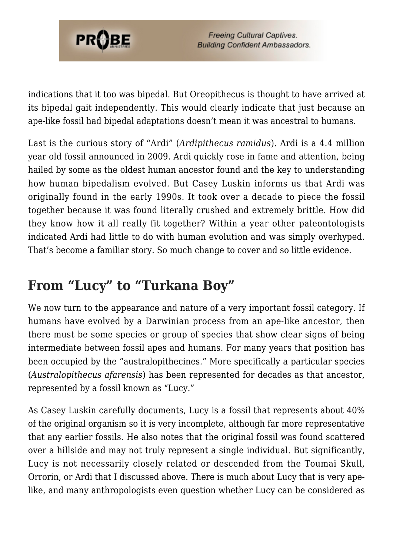

indications that it too was bipedal. But Oreopithecus is thought to have arrived at its bipedal gait independently. This would clearly indicate that just because an ape-like fossil had bipedal adaptations doesn't mean it was ancestral to humans.

Last is the curious story of "Ardi" (*Ardipithecus ramidus*). Ardi is a 4.4 million year old fossil announced in 2009. Ardi quickly rose in fame and attention, being hailed by some as the oldest human ancestor found and the key to understanding how human bipedalism evolved. But Casey Luskin informs us that Ardi was originally found in the early 1990s. It took over a decade to piece the fossil together because it was found literally crushed and extremely brittle. How did they know how it all really fit together? Within a year other paleontologists indicated Ardi had little to do with human evolution and was simply overhyped. That's become a familiar story. So much change to cover and so little evidence.

### **From "Lucy" to "Turkana Boy"**

We now turn to the appearance and nature of a very important fossil category. If humans have evolved by a Darwinian process from an ape-like ancestor, then there must be some species or group of species that show clear signs of being intermediate between fossil apes and humans. For many years that position has been occupied by the "australopithecines." More specifically a particular species (*Australopithecus afarensis*) has been represented for decades as that ancestor, represented by a fossil known as "Lucy."

As Casey Luskin carefully documents, Lucy is a fossil that represents about 40% of the original organism so it is very incomplete, although far more representative that any earlier fossils. He also notes that the original fossil was found scattered over a hillside and may not truly represent a single individual. But significantly, Lucy is not necessarily closely related or descended from the Toumai Skull, Orrorin, or Ardi that I discussed above. There is much about Lucy that is very apelike, and many anthropologists even question whether Lucy can be considered as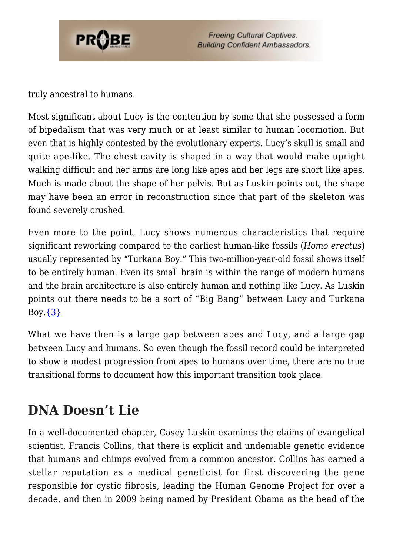

truly ancestral to humans.

Most significant about Lucy is the contention by some that she possessed a form of bipedalism that was very much or at least similar to human locomotion. But even that is highly contested by the evolutionary experts. Lucy's skull is small and quite ape-like. The chest cavity is shaped in a way that would make upright walking difficult and her arms are long like apes and her legs are short like apes. Much is made about the shape of her pelvis. But as Luskin points out, the shape may have been an error in reconstruction since that part of the skeleton was found severely crushed.

Even more to the point, Lucy shows numerous characteristics that require significant reworking compared to the earliest human-like fossils (*Homo erectus*) usually represented by "Turkana Boy." This two-million-year-old fossil shows itself to be entirely human. Even its small brain is within the range of modern humans and the brain architecture is also entirely human and nothing like Lucy. As Luskin points out there needs to be a sort of "Big Bang" between Lucy and Turkana Boy. $\{3\}$ 

What we have then is a large gap between apes and Lucy, and a large gap between Lucy and humans. So even though the fossil record could be interpreted to show a modest progression from apes to humans over time, there are no true transitional forms to document how this important transition took place.

### **DNA Doesn't Lie**

In a well-documented chapter, Casey Luskin examines the claims of evangelical scientist, Francis Collins, that there is explicit and undeniable genetic evidence that humans and chimps evolved from a common ancestor. Collins has earned a stellar reputation as a medical geneticist for first discovering the gene responsible for cystic fibrosis, leading the Human Genome Project for over a decade, and then in 2009 being named by President Obama as the head of the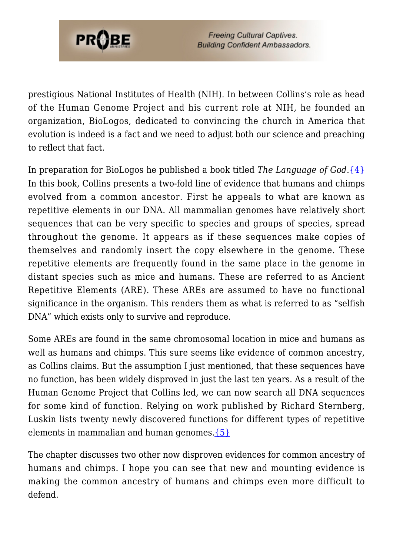

prestigious National Institutes of Health (NIH). In between Collins's role as head of the Human Genome Project and his current role at NIH, he founded an organization, BioLogos, dedicated to convincing the church in America that evolution is indeed is a fact and we need to adjust both our science and preaching to reflect that fact.

In preparation for BioLogos he published a book titled *The Language of God*[.{4}](#page-80-3) In this book, Collins presents a two-fold line of evidence that humans and chimps evolved from a common ancestor. First he appeals to what are known as repetitive elements in our DNA. All mammalian genomes have relatively short sequences that can be very specific to species and groups of species, spread throughout the genome. It appears as if these sequences make copies of themselves and randomly insert the copy elsewhere in the genome. These repetitive elements are frequently found in the same place in the genome in distant species such as mice and humans. These are referred to as Ancient Repetitive Elements (ARE). These AREs are assumed to have no functional significance in the organism. This renders them as what is referred to as "selfish DNA" which exists only to survive and reproduce.

Some AREs are found in the same chromosomal location in mice and humans as well as humans and chimps. This sure seems like evidence of common ancestry, as Collins claims. But the assumption I just mentioned, that these sequences have no function, has been widely disproved in just the last ten years. As a result of the Human Genome Project that Collins led, we can now search all DNA sequences for some kind of function. Relying on work published by Richard Sternberg, Luskin lists twenty newly discovered functions for different types of repetitive elements in mammalian and human genomes. ${5}$ 

The chapter discusses two other now disproven evidences for common ancestry of humans and chimps. I hope you can see that new and mounting evidence is making the common ancestry of humans and chimps even more difficult to defend.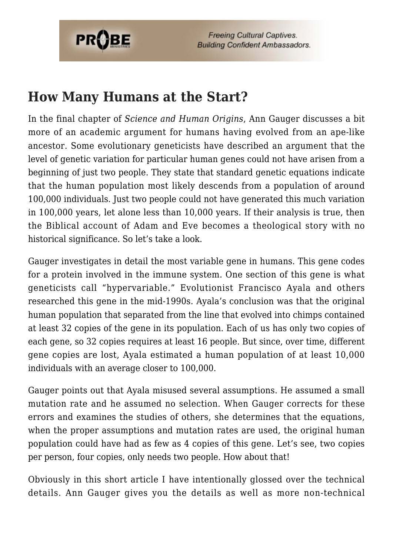

### **How Many Humans at the Start?**

In the final chapter of *Science and Human Origins*, Ann Gauger discusses a bit more of an academic argument for humans having evolved from an ape-like ancestor. Some evolutionary geneticists have described an argument that the level of genetic variation for particular human genes could not have arisen from a beginning of just two people. They state that standard genetic equations indicate that the human population most likely descends from a population of around 100,000 individuals. Just two people could not have generated this much variation in 100,000 years, let alone less than 10,000 years. If their analysis is true, then the Biblical account of Adam and Eve becomes a theological story with no historical significance. So let's take a look.

Gauger investigates in detail the most variable gene in humans. This gene codes for a protein involved in the immune system. One section of this gene is what geneticists call "hypervariable." Evolutionist Francisco Ayala and others researched this gene in the mid-1990s. Ayala's conclusion was that the original human population that separated from the line that evolved into chimps contained at least 32 copies of the gene in its population. Each of us has only two copies of each gene, so 32 copies requires at least 16 people. But since, over time, different gene copies are lost, Ayala estimated a human population of at least 10,000 individuals with an average closer to 100,000.

Gauger points out that Ayala misused several assumptions. He assumed a small mutation rate and he assumed no selection. When Gauger corrects for these errors and examines the studies of others, she determines that the equations, when the proper assumptions and mutation rates are used, the original human population could have had as few as 4 copies of this gene. Let's see, two copies per person, four copies, only needs two people. How about that!

Obviously in this short article I have intentionally glossed over the technical details. Ann Gauger gives you the details as well as more non-technical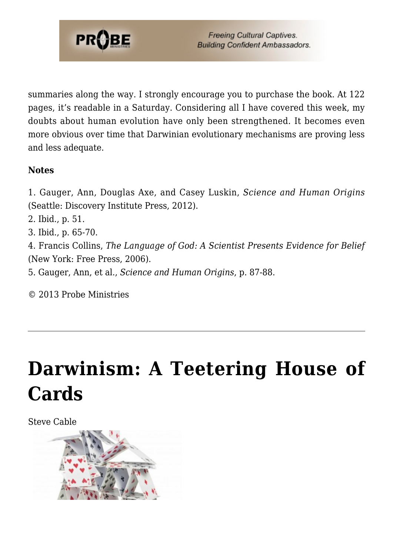

summaries along the way. I strongly encourage you to purchase the book. At 122 pages, it's readable in a Saturday. Considering all I have covered this week, my doubts about human evolution have only been strengthened. It becomes even more obvious over time that Darwinian evolutionary mechanisms are proving less and less adequate.

#### **Notes**

1. Gauger, Ann, Douglas Axe, and Casey Luskin, *Science and Human Origins* (Seattle: Discovery Institute Press, 2012).

- 2. Ibid., p. 51.
- 3. Ibid., p. 65-70.

4. Francis Collins, *The Language of God: A Scientist Presents Evidence for Belief* (New York: Free Press, 2006).

5. Gauger, Ann, et al., *Science and Human Origins*, p. 87-88.

© 2013 Probe Ministries

## **[Darwinism: A Teetering House of](https://probe.org/darwinism-a-teetering-house-of-cards/) [Cards](https://probe.org/darwinism-a-teetering-house-of-cards/)**

Steve Cable

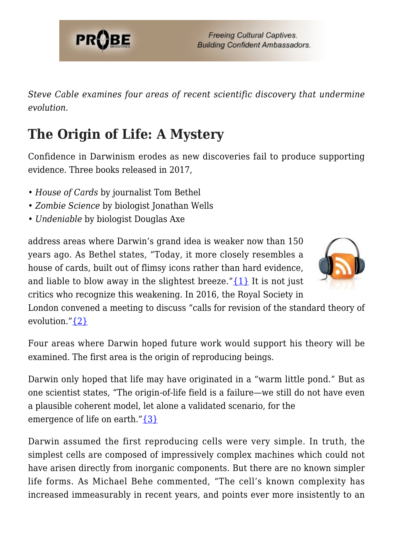

*Steve Cable examines four areas of recent scientific discovery that undermine evolution.*

### **The Origin of Life: A Mystery**

Confidence in Darwinism erodes as new discoveries fail to produce supporting evidence. Three books released in 2017,

- *House of Cards* by journalist Tom Bethel
- *Zombie Science* by biologist Jonathan Wells
- *Undeniable* by biologist Douglas Axe

address areas where Darwin's grand idea is weaker now than 150 years ago. As Bethel states, "Today, it more closely resembles a house of cards, built out of flimsy icons rather than hard evidence, and liable to blow away in the slightest breeze." $\{1\}$  It is not just critics who recognize this weakening. In 2016, the Royal Society in



London convened a meeting to discuss "calls for revision of the standard theory of evolution."[{2}](#page-80-1)

Four areas where Darwin hoped future work would support his theory will be examined. The first area is the origin of reproducing beings.

Darwin only hoped that life may have originated in a "warm little pond." But as one scientist states, "The origin-of-life field is a failure—we still do not have even a plausible coherent model, let alone a validated scenario, for the emergence of life on earth." $\{3\}$ 

Darwin assumed the first reproducing cells were very simple. In truth, the simplest cells are composed of impressively complex machines which could not have arisen directly from inorganic components. But there are no known simpler life forms. As Michael Behe commented, "The cell's known complexity has increased immeasurably in recent years, and points ever more insistently to an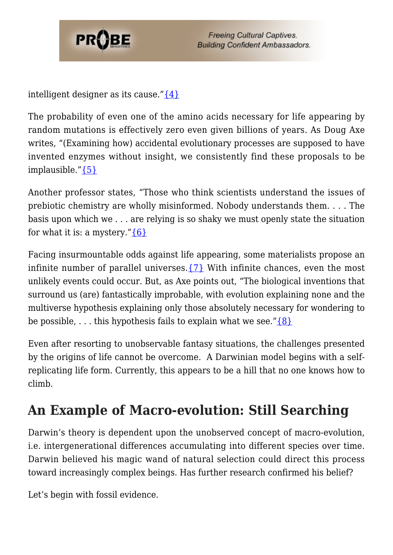

intelligent designer as its cause." $\{4\}$ 

The probability of even one of the amino acids necessary for life appearing by random mutations is effectively zero even given billions of years. As Doug Axe writes, "(Examining how) accidental evolutionary processes are supposed to have invented enzymes without insight, we consistently find these proposals to be implausible."[{5}](#page-80-4)

Another professor states, "Those who think scientists understand the issues of prebiotic chemistry are wholly misinformed. Nobody understands them. . . . The basis upon which we . . . are relying is so shaky we must openly state the situation for what it is: a mystery." $\{6\}$ 

Facing insurmountable odds against life appearing, some materialists propose an infinite number of parallel universes. $\{7\}$  With infinite chances, even the most unlikely events could occur. But, as Axe points out, "The biological inventions that surround us (are) fantastically improbable, with evolution explaining none and the multiverse hypothesis explaining only those absolutely necessary for wondering to be possible,  $\dots$  this hypothesis fails to explain what we see." $\{8\}$ 

Even after resorting to unobservable fantasy situations, the challenges presented by the origins of life cannot be overcome. A Darwinian model begins with a selfreplicating life form. Currently, this appears to be a hill that no one knows how to climb.

### **An Example of Macro-evolution: Still Searching**

Darwin's theory is dependent upon the unobserved concept of macro-evolution, i.e. intergenerational differences accumulating into different species over time. Darwin believed his magic wand of natural selection could direct this process toward increasingly complex beings. Has further research confirmed his belief?

Let's begin with fossil evidence.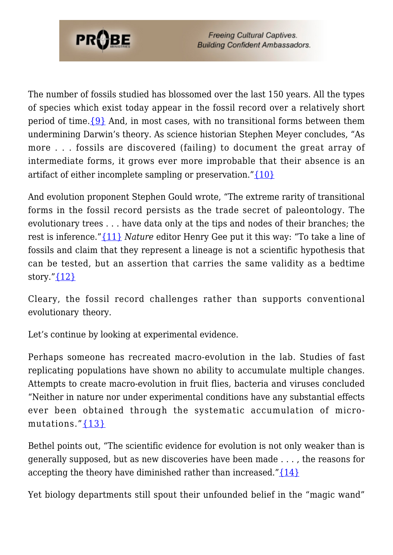

The number of fossils studied has blossomed over the last 150 years. All the types of species which exist today appear in the fossil record over a relatively short period of time.[{9}](#page-81-0) And, in most cases, with no transitional forms between them undermining Darwin's theory. As science historian Stephen Meyer concludes, "As more . . . fossils are discovered (failing) to document the great array of intermediate forms, it grows ever more improbable that their absence is an artifact of either incomplete sampling or preservation." $\{10\}$ 

And evolution proponent Stephen Gould wrote, "The extreme rarity of transitional forms in the fossil record persists as the trade secret of paleontology. The evolutionary trees . . . have data only at the tips and nodes of their branches; the rest is inference."[{11}](#page-25-0) *Nature* editor Henry Gee put it this way: "To take a line of fossils and claim that they represent a lineage is not a scientific hypothesis that can be tested, but an assertion that carries the same validity as a bedtime story." $\{12\}$ 

Cleary, the fossil record challenges rather than supports conventional evolutionary theory.

Let's continue by looking at experimental evidence.

Perhaps someone has recreated macro-evolution in the lab. Studies of fast replicating populations have shown no ability to accumulate multiple changes. Attempts to create macro-evolution in fruit flies, bacteria and viruses concluded "Neither in nature nor under experimental conditions have any substantial effects ever been obtained through the systematic accumulation of micromutations." $\{13\}$ 

Bethel points out, "The scientific evidence for evolution is not only weaker than is generally supposed, but as new discoveries have been made . . . , the reasons for accepting the theory have diminished rather than increased." $\{14\}$ 

Yet biology departments still spout their unfounded belief in the "magic wand"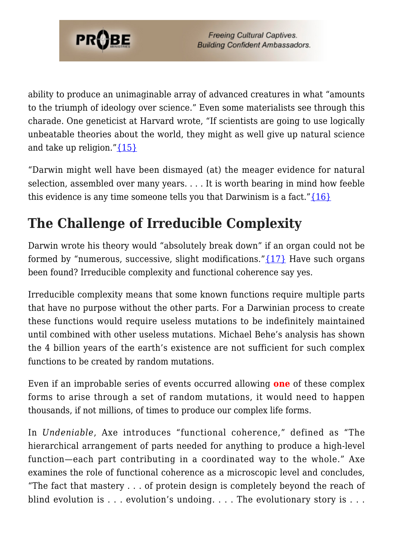

ability to produce an unimaginable array of advanced creatures in what "amounts to the triumph of ideology over science." Even some materialists see through this charade. One geneticist at Harvard wrote, "If scientists are going to use logically unbeatable theories about the world, they might as well give up natural science and take up religion." $\{15\}$ 

"Darwin might well have been dismayed (at) the meager evidence for natural selection, assembled over many years. . . . It is worth bearing in mind how feeble this evidence is any time someone tells you that Darwinism is a fact." $\{16\}$ 

### **The Challenge of Irreducible Complexity**

Darwin wrote his theory would "absolutely break down" if an organ could not be formed by "numerous, successive, slight modifications." $\{17\}$  Have such organs been found? Irreducible complexity and functional coherence say yes.

Irreducible complexity means that some known functions require multiple parts that have no purpose without the other parts. For a Darwinian process to create these functions would require useless mutations to be indefinitely maintained until combined with other useless mutations. Michael Behe's analysis has shown the 4 billion years of the earth's existence are not sufficient for such complex functions to be created by random mutations.

Even if an improbable series of events occurred allowing **one** of these complex forms to arise through a set of random mutations, it would need to happen thousands, if not millions, of times to produce our complex life forms.

In *Undeniable*, Axe introduces "functional coherence," defined as "The hierarchical arrangement of parts needed for anything to produce a high-level function—each part contributing in a coordinated way to the whole." Axe examines the role of functional coherence as a microscopic level and concludes, "The fact that mastery  $\ldots$  of protein design is completely beyond the reach of blind evolution is . . . evolution's undoing. . . . The evolutionary story is . . .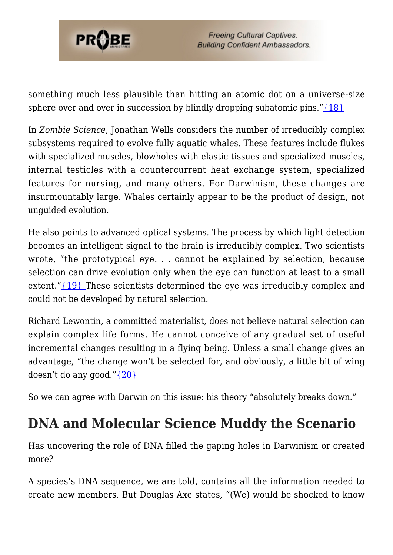

something much less plausible than hitting an atomic dot on a universe-size sphere over and over in succession by blindly dropping subatomic pins." $\{18\}$ 

In *Zombie Science*, Jonathan Wells considers the number of irreducibly complex subsystems required to evolve fully aquatic whales. These features include flukes with specialized muscles, blowholes with elastic tissues and specialized muscles, internal testicles with a countercurrent heat exchange system, specialized features for nursing, and many others. For Darwinism, these changes are insurmountably large. Whales certainly appear to be the product of design, not unguided evolution.

He also points to advanced optical systems. The process by which light detection becomes an intelligent signal to the brain is irreducibly complex. Two scientists wrote, "the prototypical eye. . . cannot be explained by selection, because selection can drive evolution only when the eye can function at least to a small extent."[{19} T](#page-26-1)hese scientists determined the eye was irreducibly complex and could not be developed by natural selection.

Richard Lewontin, a committed materialist, does not believe natural selection can explain complex life forms. He cannot conceive of any gradual set of useful incremental changes resulting in a flying being. Unless a small change gives an advantage, "the change won't be selected for, and obviously, a little bit of wing doesn't do any good." $\{20\}$ 

So we can agree with Darwin on this issue: his theory "absolutely breaks down."

### **DNA and Molecular Science Muddy the Scenario**

Has uncovering the role of DNA filled the gaping holes in Darwinism or created more?

A species's DNA sequence, we are told, contains all the information needed to create new members. But Douglas Axe states, "(We) would be shocked to know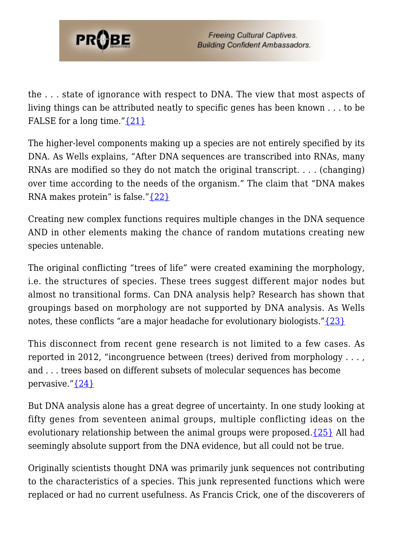

the . . . state of ignorance with respect to DNA. The view that most aspects of living things can be attributed neatly to specific genes has been known . . . to be FALSE for a long time." $\{21\}$ 

The higher-level components making up a species are not entirely specified by its DNA. As Wells explains, "After DNA sequences are transcribed into RNAs, many RNAs are modified so they do not match the original transcript. . . . (changing) over time according to the needs of the organism." The claim that "DNA makes RNA makes protein" is false.["{22}](#page-26-4)

Creating new complex functions requires multiple changes in the DNA sequence AND in other elements making the chance of random mutations creating new species untenable.

The original conflicting "trees of life" were created examining the morphology, i.e. the structures of species. These trees suggest different major nodes but almost no transitional forms. Can DNA analysis help? Research has shown that groupings based on morphology are not supported by DNA analysis. As Wells notes, these conflicts "are a major headache for evolutionary biologists.["{23}](#page-26-5)

This disconnect from recent gene research is not limited to a few cases. As reported in 2012, "incongruence between (trees) derived from morphology . . . , and . . . trees based on different subsets of molecular sequences has become pervasive." $\{24\}$ 

But DNA analysis alone has a great degree of uncertainty. In one study looking at fifty genes from seventeen animal groups, multiple conflicting ideas on the evolutionary relationship between the animal groups were proposed. $\{25\}$  All had seemingly absolute support from the DNA evidence, but all could not be true.

Originally scientists thought DNA was primarily junk sequences not contributing to the characteristics of a species. This junk represented functions which were replaced or had no current usefulness. As Francis Crick, one of the discoverers of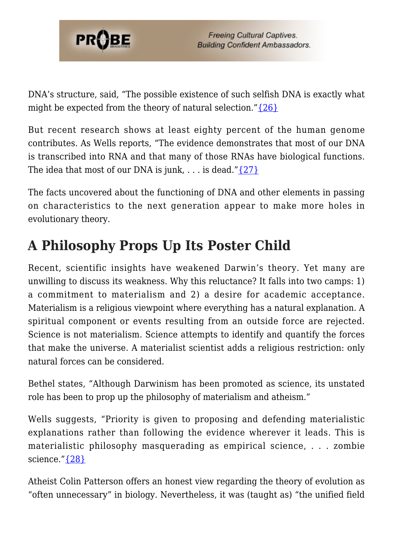

DNA's structure, said, "The possible existence of such selfish DNA is exactly what might be expected from the theory of natural selection." $\{26\}$ 

But recent research shows at least eighty percent of the human genome contributes. As Wells reports, "The evidence demonstrates that most of our DNA is transcribed into RNA and that many of those RNAs have biological functions. The idea that most of our DNA is junk,  $\dots$  is dead." $\{27\}$ 

The facts uncovered about the functioning of DNA and other elements in passing on characteristics to the next generation appear to make more holes in evolutionary theory.

### **A Philosophy Props Up Its Poster Child**

Recent, scientific insights have weakened Darwin's theory. Yet many are unwilling to discuss its weakness. Why this reluctance? It falls into two camps: 1) a commitment to materialism and 2) a desire for academic acceptance. Materialism is a religious viewpoint where everything has a natural explanation. A spiritual component or events resulting from an outside force are rejected. Science is not materialism. Science attempts to identify and quantify the forces that make the universe. A materialist scientist adds a religious restriction: only natural forces can be considered.

Bethel states, "Although Darwinism has been promoted as science, its unstated role has been to prop up the philosophy of materialism and atheism."

Wells suggests, "Priority is given to proposing and defending materialistic explanations rather than following the evidence wherever it leads. This is materialistic philosophy masquerading as empirical science, . . . zombie science." [{28}](#page-26-10)

Atheist Colin Patterson offers an honest view regarding the theory of evolution as "often unnecessary" in biology. Nevertheless, it was (taught as) "the unified field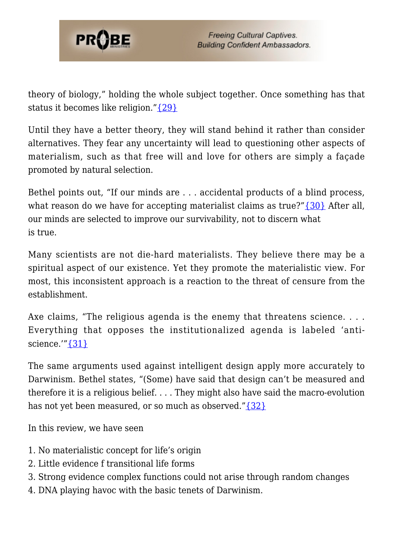

theory of biology," holding the whole subject together. Once something has that status it becomes like religion."[{29}](#page-26-11)

Until they have a better theory, they will stand behind it rather than consider alternatives. They fear any uncertainty will lead to questioning other aspects of materialism, such as that free will and love for others are simply a façade promoted by natural selection.

Bethel points out, "If our minds are . . . accidental products of a blind process, what reason do we have for accepting materialist claims as true?"[{30}](#page-26-12) After all, our minds are selected to improve our survivability, not to discern what is true.

Many scientists are not die-hard materialists. They believe there may be a spiritual aspect of our existence. Yet they promote the materialistic view. For most, this inconsistent approach is a reaction to the threat of censure from the establishment.

Axe claims, "The religious agenda is the enemy that threatens science.... Everything that opposes the institutionalized agenda is labeled 'antiscience. $^{\prime\prime\prime}\{31\}$ 

The same arguments used against intelligent design apply more accurately to Darwinism. Bethel states, "(Some) have said that design can't be measured and therefore it is a religious belief. . . . They might also have said the macro-evolution has not yet been measured, or so much as observed." $\{32\}$ 

In this review, we have seen

- 1. No materialistic concept for life's origin
- 2. Little evidence f transitional life forms
- 3. Strong evidence complex functions could not arise through random changes
- 4. DNA playing havoc with the basic tenets of Darwinism.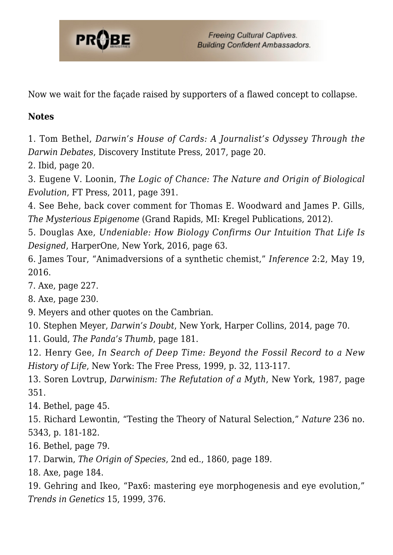

Now we wait for the façade raised by supporters of a flawed concept to collapse.

#### **Notes**

1. Tom Bethel, *Darwin's House of Cards: A Journalist's Odyssey Through the Darwin Debates*, Discovery Institute Press, 2017, page 20.

2. Ibid, page 20.

3. Eugene V. Loonin, *The Logic of Chance: The Nature and Origin of Biological Evolution*, FT Press, 2011, page 391.

4. See Behe, back cover comment for Thomas E. Woodward and James P. Gills, *The Mysterious Epigenome* (Grand Rapids, MI: Kregel Publications, 2012).

5. Douglas Axe, *Undeniable: How Biology Confirms Our Intuition That Life Is Designed*, HarperOne, New York, 2016, page 63.

6. James Tour, "Animadversions of a synthetic chemist," *Inference* 2:2, May 19, 2016.

7. Axe, page 227.

8. Axe, page 230.

9. Meyers and other quotes on the Cambrian.

10. Stephen Meyer, *Darwin's Doubt*, New York, Harper Collins, 2014, page 70.

11. Gould, *The Panda's Thumb*, page 181.

12. Henry Gee, *In Search of Deep Time: Beyond the Fossil Record to a New History of Life*, New York: The Free Press, 1999, p. 32, 113-117.

13. Soren Lovtrup, *Darwinism: The Refutation of a Myth*, New York, 1987, page 351.

14. Bethel, page 45.

15. Richard Lewontin, "Testing the Theory of Natural Selection," *Nature* 236 no. 5343, p. 181-182.

16. Bethel, page 79.

17. Darwin, *The Origin of Species*, 2nd ed., 1860, page 189.

18. Axe, page 184.

19. Gehring and Ikeo, "Pax6: mastering eye morphogenesis and eye evolution," *Trends in Genetics* 15, 1999, 376.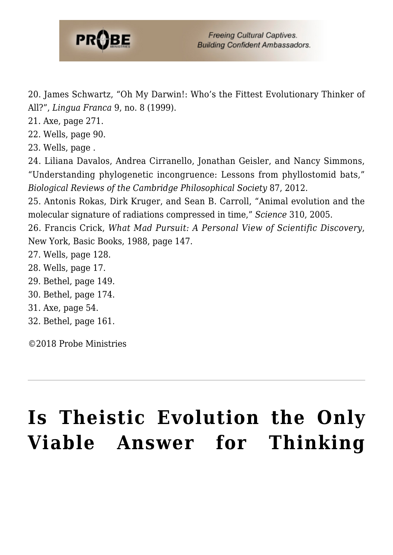

20. James Schwartz, "Oh My Darwin!: Who's the Fittest Evolutionary Thinker of All?", *Lingua Franca* 9, no. 8 (1999).

21. Axe, page 271.

22. Wells, page 90.

23. Wells, page .

24. Liliana Davalos, Andrea Cirranello, Jonathan Geisler, and Nancy Simmons, "Understanding phylogenetic incongruence: Lessons from phyllostomid bats," *Biological Reviews of the Cambridge Philosophical Society* 87, 2012.

25. Antonis Rokas, Dirk Kruger, and Sean B. Carroll, "Animal evolution and the molecular signature of radiations compressed in time," *Science* 310, 2005.

26. Francis Crick, *What Mad Pursuit: A Personal View of Scientific Discovery*, New York, Basic Books, 1988, page 147.

- 27. Wells, page 128.
- 28. Wells, page 17.
- 29. Bethel, page 149.
- 30. Bethel, page 174.
- <span id="page-17-0"></span>31. Axe, page 54.
- <span id="page-17-1"></span>32. Bethel, page 161.

©2018 Probe Ministries

# **[Is Theistic Evolution the Only](https://probe.org/is-theistic-evolution-the-only-viable-answer-for-thinking-christians/) [Viable Answer for Thinking](https://probe.org/is-theistic-evolution-the-only-viable-answer-for-thinking-christians/)**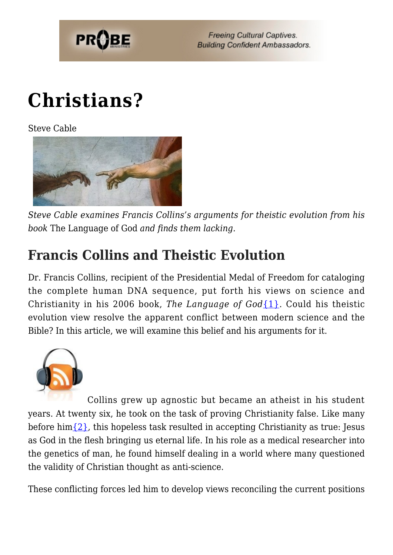

# **[Christians?](https://probe.org/is-theistic-evolution-the-only-viable-answer-for-thinking-christians/)**

Steve Cable



*Steve Cable examines Francis Collins's arguments for theistic evolution from his book* The Language of God *and finds them lacking.*

### **Francis Collins and Theistic Evolution**

Dr. Francis Collins, recipient of the Presidential Medal of Freedom for cataloging the complete human DNA sequence, put forth his views on science and Christianity in his 2006 book, *The Language of God*[{1}](#page-80-0). Could his theistic evolution view resolve the apparent conflict between modern science and the Bible? In this article, we will examine this belief and his arguments for it.



Collins grew up agnostic but became an atheist in his student years. At twenty six, he took on the task of proving Christianity false. Like many before him $\{2\}$ , this hopeless task resulted in accepting Christianity as true: Jesus as God in the flesh bringing us eternal life. In his role as a medical researcher into the genetics of man, he found himself dealing in a world where many questioned the validity of Christian thought as anti-science.

These conflicting forces led him to develop views reconciling the current positions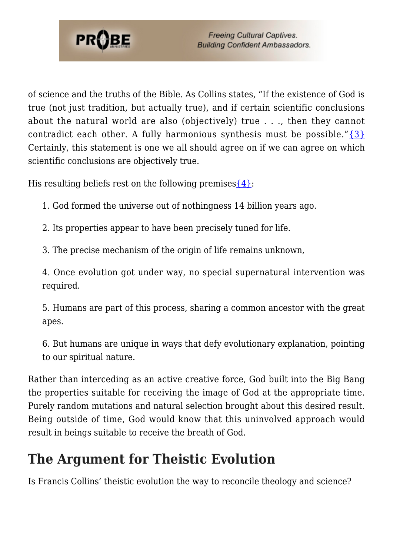

of science and the truths of the Bible. As Collins states, "If the existence of God is true (not just tradition, but actually true), and if certain scientific conclusions about the natural world are also (objectively) true . . ., then they cannot contradict each other. A fully harmonious synthesis must be possible." $\{3\}$ Certainly, this statement is one we all should agree on if we can agree on which scientific conclusions are objectively true.

His resulting beliefs rest on the following premises  $\{4\}$ :

- 1. God formed the universe out of nothingness 14 billion years ago.
- 2. Its properties appear to have been precisely tuned for life.
- 3. The precise mechanism of the origin of life remains unknown,

4. Once evolution got under way, no special supernatural intervention was required.

5. Humans are part of this process, sharing a common ancestor with the great apes.

6. But humans are unique in ways that defy evolutionary explanation, pointing to our spiritual nature.

Rather than interceding as an active creative force, God built into the Big Bang the properties suitable for receiving the image of God at the appropriate time. Purely random mutations and natural selection brought about this desired result. Being outside of time, God would know that this uninvolved approach would result in beings suitable to receive the breath of God.

### **The Argument for Theistic Evolution**

Is Francis Collins' theistic evolution the way to reconcile theology and science?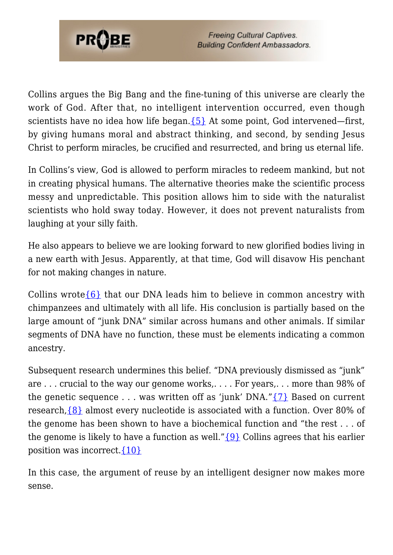

Collins argues the Big Bang and the fine-tuning of this universe are clearly the work of God. After that, no intelligent intervention occurred, even though scientists have no idea how life began. $\{5\}$  At some point, God intervened—first, by giving humans moral and abstract thinking, and second, by sending Jesus Christ to perform miracles, be crucified and resurrected, and bring us eternal life.

In Collins's view, God is allowed to perform miracles to redeem mankind, but not in creating physical humans. The alternative theories make the scientific process messy and unpredictable. This position allows him to side with the naturalist scientists who hold sway today. However, it does not prevent naturalists from laughing at your silly faith.

He also appears to believe we are looking forward to new glorified bodies living in a new earth with Jesus. Apparently, at that time, God will disavow His penchant for not making changes in nature.

Collins wrote  $\{6\}$  that our DNA leads him to believe in common ancestry with chimpanzees and ultimately with all life. His conclusion is partially based on the large amount of "junk DNA" similar across humans and other animals. If similar segments of DNA have no function, these must be elements indicating a common ancestry.

Subsequent research undermines this belief. "DNA previously dismissed as "junk" are . . . crucial to the way our genome works,. . . . For years,. . . more than 98% of the genetic sequence  $\ldots$  was written off as 'junk' DNA." $\{7\}$  Based on current research,  $\{8\}$  almost every nucleotide is associated with a function. Over 80% of the genome has been shown to have a biochemical function and "the rest . . . of the genome is likely to have a function as well." $\{9\}$  Collins agrees that his earlier position was incorrect[.{10}](#page-81-1)

In this case, the argument of reuse by an intelligent designer now makes more sense.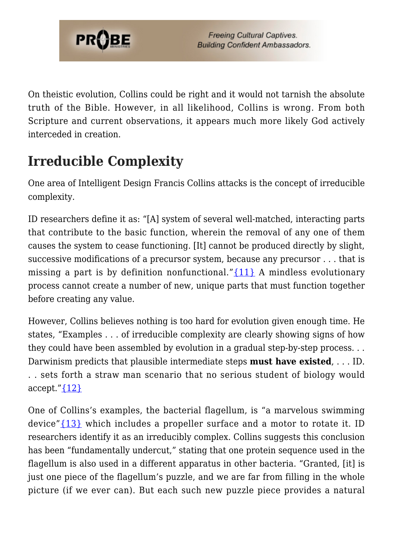

On theistic evolution, Collins could be right and it would not tarnish the absolute truth of the Bible. However, in all likelihood, Collins is wrong. From both Scripture and current observations, it appears much more likely God actively interceded in creation.

### **Irreducible Complexity**

One area of Intelligent Design Francis Collins attacks is the concept of irreducible complexity.

ID researchers define it as: "[A] system of several well-matched, interacting parts that contribute to the basic function, wherein the removal of any one of them causes the system to cease functioning. [It] cannot be produced directly by slight, successive modifications of a precursor system, because any precursor . . . that is missing a part is by definition nonfunctional." $\{11\}$  A mindless evolutionary process cannot create a number of new, unique parts that must function together before creating any value.

However, Collins believes nothing is too hard for evolution given enough time. He states, "Examples . . . of irreducible complexity are clearly showing signs of how they could have been assembled by evolution in a gradual step-by-step process. . . Darwinism predicts that plausible intermediate steps **must have existed**, . . . ID. . . sets forth a straw man scenario that no serious student of biology would accept." $\{12\}$ 

One of Collins's examples, the bacterial flagellum, is "a marvelous swimming device" $\{13\}$  which includes a propeller surface and a motor to rotate it. ID researchers identify it as an irreducibly complex. Collins suggests this conclusion has been "fundamentally undercut," stating that one protein sequence used in the flagellum is also used in a different apparatus in other bacteria. "Granted, [it] is just one piece of the flagellum's puzzle, and we are far from filling in the whole picture (if we ever can). But each such new puzzle piece provides a natural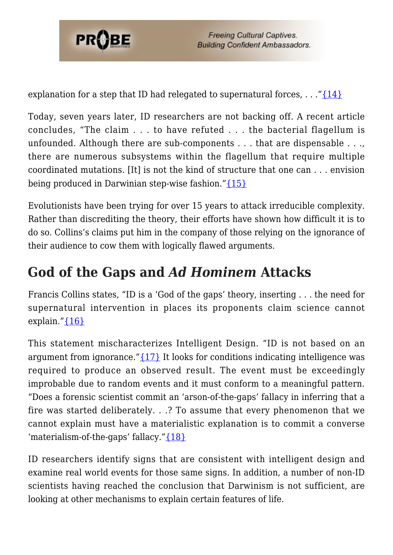

explanation for a step that ID had relegated to supernatural forces,  $\dots$  "[{14}](#page-25-3)

Today, seven years later, ID researchers are not backing off. A recent article concludes, "The claim . . . to have refuted . . . the bacterial flagellum is unfounded. Although there are sub-components . . . that are dispensable . . ., there are numerous subsystems within the flagellum that require multiple coordinated mutations. [It] is not the kind of structure that one can . . . envision being produced in Darwinian step-wise fashion."[{15}](#page-25-4)

Evolutionists have been trying for over 15 years to attack irreducible complexity. Rather than discrediting the theory, their efforts have shown how difficult it is to do so. Collins's claims put him in the company of those relying on the ignorance of their audience to cow them with logically flawed arguments.

### **God of the Gaps and** *Ad Hominem* **Attacks**

Francis Collins states, "ID is a 'God of the gaps' theory, inserting . . . the need for supernatural intervention in places its proponents claim science cannot explain." ${16}$ 

This statement mischaracterizes Intelligent Design. "ID is not based on an argument from ignorance." $\{17\}$  It looks for conditions indicating intelligence was required to produce an observed result. The event must be exceedingly improbable due to random events and it must conform to a meaningful pattern. "Does a forensic scientist commit an 'arson-of-the-gaps' fallacy in inferring that a fire was started deliberately. . .? To assume that every phenomenon that we cannot explain must have a materialistic explanation is to commit a converse 'materialism-of-the-gaps' fallacy."[{18}](#page-26-0)

ID researchers identify signs that are consistent with intelligent design and examine real world events for those same signs. In addition, a number of non-ID scientists having reached the conclusion that Darwinism is not sufficient, are looking at other mechanisms to explain certain features of life.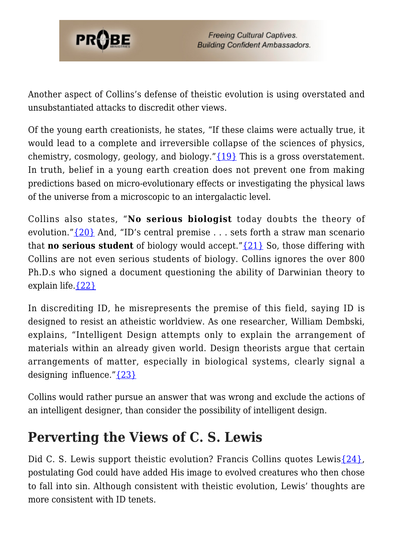

Another aspect of Collins's defense of theistic evolution is using overstated and unsubstantiated attacks to discredit other views.

Of the young earth creationists, he states, "If these claims were actually true, it would lead to a complete and irreversible collapse of the sciences of physics, chemistry, cosmology, geology, and biology."[{19}](#page-26-1) This is a gross overstatement. In truth, belief in a young earth creation does not prevent one from making predictions based on micro-evolutionary effects or investigating the physical laws of the universe from a microscopic to an intergalactic level.

Collins also states, "**No serious biologist** today doubts the theory of evolution." $\{20\}$  And, "ID's central premise ... sets forth a straw man scenario that **no serious student** of biology would accept."[{21}](#page-26-3) So, those differing with Collins are not even serious students of biology. Collins ignores the over 800 Ph.D.s who signed a document questioning the ability of Darwinian theory to explain life[.{22}](#page-26-4)

In discrediting ID, he misrepresents the premise of this field, saying ID is designed to resist an atheistic worldview. As one researcher, William Dembski, explains, "Intelligent Design attempts only to explain the arrangement of materials within an already given world. Design theorists argue that certain arrangements of matter, especially in biological systems, clearly signal a designing influence." $\{23\}$ 

Collins would rather pursue an answer that was wrong and exclude the actions of an intelligent designer, than consider the possibility of intelligent design.

### **Perverting the Views of C. S. Lewis**

Did C. S. Lewis support theistic evolution? Francis Collins quotes Lewis $\{24\}$ , postulating God could have added His image to evolved creatures who then chose to fall into sin. Although consistent with theistic evolution, Lewis' thoughts are more consistent with ID tenets.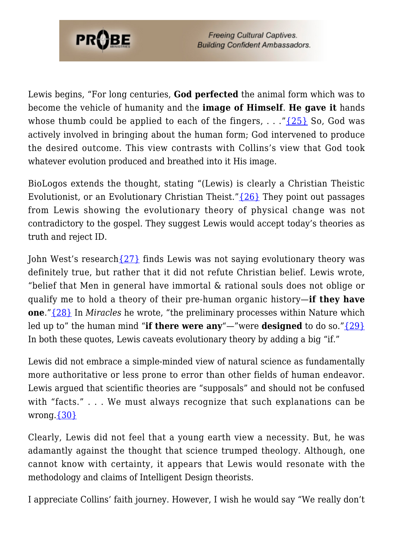

Lewis begins, "For long centuries, **God perfected** the animal form which was to become the vehicle of humanity and the **image of Himself**. **He gave it** hands whose thumb could be applied to each of the fingers,  $\ldots$  "[{25}](#page-26-7) So, God was actively involved in bringing about the human form; God intervened to produce the desired outcome. This view contrasts with Collins's view that God took whatever evolution produced and breathed into it His image.

BioLogos extends the thought, stating "(Lewis) is clearly a Christian Theistic Evolutionist, or an Evolutionary Christian Theist." $\{26\}$  They point out passages from Lewis showing the evolutionary theory of physical change was not contradictory to the gospel. They suggest Lewis would accept today's theories as truth and reject ID.

John West's research  $\{27\}$  finds Lewis was not saying evolutionary theory was definitely true, but rather that it did not refute Christian belief. Lewis wrote, "belief that Men in general have immortal & rational souls does not oblige or qualify me to hold a theory of their pre-human organic history—**if they have one**."[{28}](#page-26-10) In *Miracles* he wrote, "the preliminary processes within Nature which led up to" the human mind "**if there were any**"—"were **designed** to do so."[{29}](#page-26-11) In both these quotes, Lewis caveats evolutionary theory by adding a big "if."

Lewis did not embrace a simple-minded view of natural science as fundamentally more authoritative or less prone to error than other fields of human endeavor. Lewis argued that scientific theories are "supposals" and should not be confused with "facts." . . . We must always recognize that such explanations can be wrong. $\{30\}$ 

Clearly, Lewis did not feel that a young earth view a necessity. But, he was adamantly against the thought that science trumped theology. Although, one cannot know with certainty, it appears that Lewis would resonate with the methodology and claims of Intelligent Design theorists.

I appreciate Collins' faith journey. However, I wish he would say "We really don't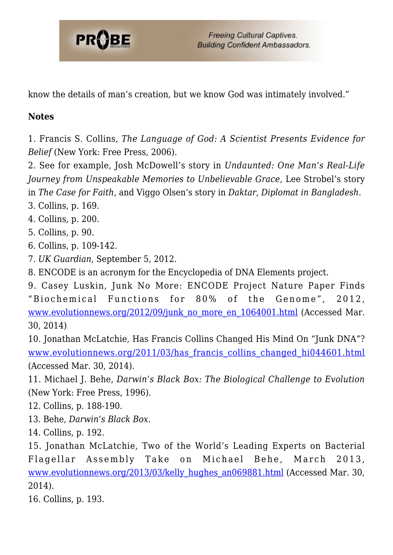

know the details of man's creation, but we know God was intimately involved."

#### **Notes**

1. Francis S. Collins, *The Language of God: A Scientist Presents Evidence for Belief* (New York: Free Press, 2006).

2. See for example, Josh McDowell's story in *Undaunted: One Man's Real-Life Journey from Unspeakable Memories to Unbelievable Grace*, Lee Strobel's story in *The Case for Faith*, and Viggo Olsen's story in *Daktar, Diplomat in Bangladesh*.

3. Collins, p. 169.

4. Collins, p. 200.

5. Collins, p. 90.

6. Collins, p. 109-142.

7. *UK Guardian*, September 5, 2012.

8. ENCODE is an acronym for the Encyclopedia of DNA Elements project.

9. Casey Luskin, Junk No More: ENCODE Project Nature Paper Finds "Biochemical Functions for 80% of the Genome", 2012, [www.evolutionnews.org/2012/09/junk\\_no\\_more\\_en\\_1064001.html](http://www.evolutionnews.org/2012/09/junk_no_more_en_1064001.html) (Accessed Mar. 30, 2014)

10. Jonathan McLatchie, Has Francis Collins Changed His Mind On "Junk DNA"? www.evolutionnews.org/2011/03/has francis collins changed hi044601.html (Accessed Mar. 30, 2014).

<span id="page-25-0"></span>11. Michael J. Behe, *Darwin's Black Box: The Biological Challenge to Evolution* (New York: Free Press, 1996).

<span id="page-25-1"></span>12. Collins, p. 188-190.

<span id="page-25-2"></span>13. Behe, *Darwin's Black Box.*

<span id="page-25-3"></span>14. Collins, p. 192.

<span id="page-25-4"></span>15. Jonathan McLatchie, Two of the World's Leading Experts on Bacterial Flagellar Assembly Take on Michael Behe, March 2013, [www.evolutionnews.org/2013/03/kelly\\_hughes\\_an069881.html](http://www.evolutionnews.org/2013/03/kelly_hughes_an069881.html) (Accessed Mar. 30, 2014).

<span id="page-25-6"></span><span id="page-25-5"></span>16. Collins, p. 193.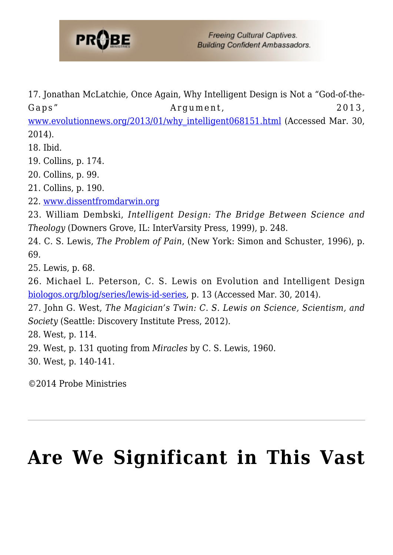

17. Jonathan McLatchie, Once Again, Why Intelligent Design is Not a "God-of-the-Gaps" Argument, 2013,

[www.evolutionnews.org/2013/01/why\\_intelligent068151.html](http://www.evolutionnews.org/2013/01/why_intelligent068151.html) (Accessed Mar. 30, 2014).

<span id="page-26-0"></span>18. Ibid.

<span id="page-26-1"></span>19. Collins, p. 174.

<span id="page-26-2"></span>20. Collins, p. 99.

<span id="page-26-3"></span>21. Collins, p. 190.

<span id="page-26-4"></span>22. [www.dissentfromdarwin.org](http://www.dissentfromdarwin.org)

<span id="page-26-5"></span>23. William Dembski, *Intelligent Design: The Bridge Between Science and Theology* (Downers Grove, IL: InterVarsity Press, 1999), p. 248.

<span id="page-26-6"></span>24. C. S. Lewis, *The Problem of Pain*, (New York: Simon and Schuster, 1996), p. 69.

<span id="page-26-7"></span>25. Lewis, p. 68.

<span id="page-26-8"></span>26. Michael L. Peterson, C. S. Lewis on Evolution and Intelligent Design [biologos.org/blog/series/lewis-id-series](http://biologos.org/blog/series/lewis-id-series), p. 13 (Accessed Mar. 30, 2014).

<span id="page-26-9"></span>27. John G. West, *The Magician's Twin: C. S. Lewis on Science, Scientism, and Society* (Seattle: Discovery Institute Press, 2012).

<span id="page-26-10"></span>28. West, p. 114.

<span id="page-26-11"></span>29. West, p. 131 quoting from *Miracles* by C. S. Lewis, 1960.

<span id="page-26-12"></span>30. West, p. 140-141.

©2014 Probe Ministries

## **[Are We Significant in This Vast](https://probe.org/are-we-significant-in-this-vast-universe/)**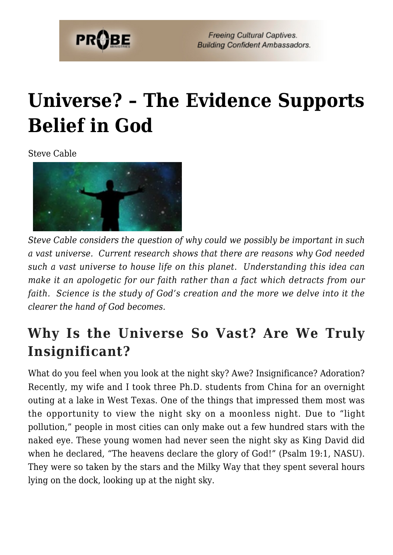

## **[Universe? – The Evidence Supports](https://probe.org/are-we-significant-in-this-vast-universe/) [Belief in God](https://probe.org/are-we-significant-in-this-vast-universe/)**

Steve Cable



*Steve Cable considers the question of why could we possibly be important in such a vast universe. Current research shows that there are reasons why God needed such a vast universe to house life on this planet. Understanding this idea can make it an apologetic for our faith rather than a fact which detracts from our faith. Science is the study of God's creation and the more we delve into it the clearer the hand of God becomes.*

### **Why Is the Universe So Vast? Are We Truly Insignificant?**

What do you feel when you look at the night sky? Awe? Insignificance? Adoration? Recently, my wife and I took three Ph.D. students from China for an overnight outing at a lake in West Texas. One of the things that impressed them most was the opportunity to view the night sky on a moonless night. Due to "light pollution," people in most cities can only make out a few hundred stars with the naked eye. These young women had never seen the night sky as King David did when he declared, "The heavens declare the glory of God!" (Psalm 19:1, NASU). They were so taken by the stars and the Milky Way that they spent several hours lying on the dock, looking up at the night sky.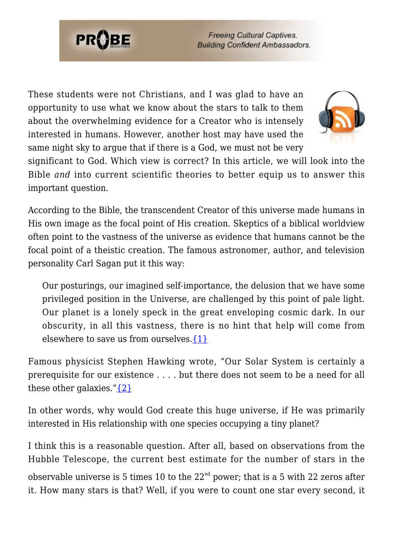

These students were not Christians, and I was glad to have an opportunity to use what we know about the stars to talk to them about the overwhelming evidence for a Creator who is intensely interested in humans. However, another host may have used the same night sky to argue that if there is a God, we must not be very



significant to God. Which view is correct? In this article, we will look into the Bible *and* into current scientific theories to better equip us to answer this important question.

According to the Bible, the transcendent Creator of this universe made humans in His own image as the focal point of His creation. Skeptics of a biblical worldview often point to the vastness of the universe as evidence that humans cannot be the focal point of a theistic creation. The famous astronomer, author, and television personality Carl Sagan put it this way:

Our posturings, our imagined self-importance, the delusion that we have some privileged position in the Universe, are challenged by this point of pale light. Our planet is a lonely speck in the great enveloping cosmic dark. In our obscurity, in all this vastness, there is no hint that help will come from elsewhere to save us from ourselves. $\{1\}$ 

Famous physicist Stephen Hawking wrote, "Our Solar System is certainly a prerequisite for our existence . . . . but there does not seem to be a need for all these other galaxies." $\{2\}$ 

In other words, why would God create this huge universe, if He was primarily interested in His relationship with one species occupying a tiny planet?

I think this is a reasonable question. After all, based on observations from the Hubble Telescope, the current best estimate for the number of stars in the

observable universe is 5 times 10 to the  $22<sup>nd</sup>$  power; that is a 5 with 22 zeros after it. How many stars is that? Well, if you were to count one star every second, it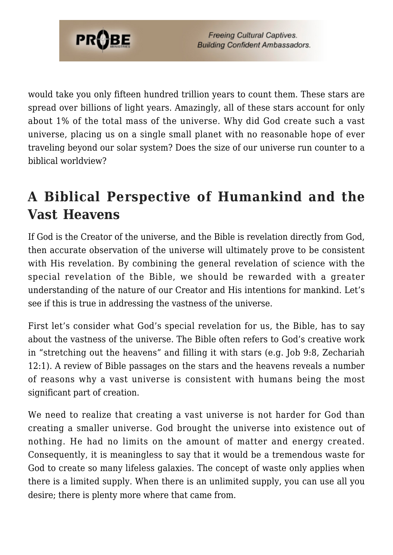

would take you only fifteen hundred trillion years to count them. These stars are spread over billions of light years. Amazingly, all of these stars account for only about 1% of the total mass of the universe. Why did God create such a vast universe, placing us on a single small planet with no reasonable hope of ever traveling beyond our solar system? Does the size of our universe run counter to a biblical worldview?

### **A Biblical Perspective of Humankind and the Vast Heavens**

If God is the Creator of the universe, and the Bible is revelation directly from God, then accurate observation of the universe will ultimately prove to be consistent with His revelation. By combining the general revelation of science with the special revelation of the Bible, we should be rewarded with a greater understanding of the nature of our Creator and His intentions for mankind. Let's see if this is true in addressing the vastness of the universe.

First let's consider what God's special revelation for us, the Bible, has to say about the vastness of the universe. The Bible often refers to God's creative work in "stretching out the heavens" and filling it with stars (e.g. Job 9:8, Zechariah 12:1). A review of Bible passages on the stars and the heavens reveals a number of reasons why a vast universe is consistent with humans being the most significant part of creation.

We need to realize that creating a vast universe is not harder for God than creating a smaller universe. God brought the universe into existence out of nothing. He had no limits on the amount of matter and energy created. Consequently, it is meaningless to say that it would be a tremendous waste for God to create so many lifeless galaxies. The concept of waste only applies when there is a limited supply. When there is an unlimited supply, you can use all you desire; there is plenty more where that came from.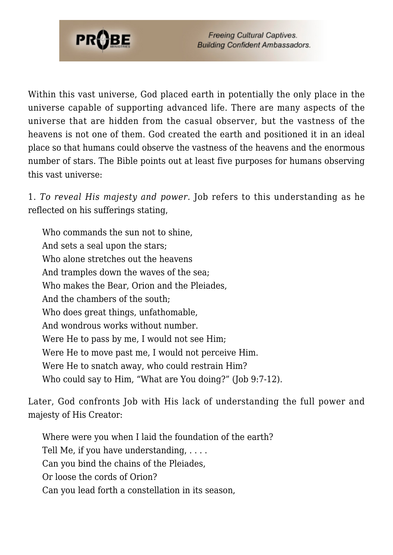

Within this vast universe, God placed earth in potentially the only place in the universe capable of supporting advanced life. There are many aspects of the universe that are hidden from the casual observer, but the vastness of the heavens is not one of them. God created the earth and positioned it in an ideal place so that humans could observe the vastness of the heavens and the enormous number of stars. The Bible points out at least five purposes for humans observing this vast universe:

1. *To reveal His majesty and power.* Job refers to this understanding as he reflected on his sufferings stating,

Who commands the sun not to shine, And sets a seal upon the stars; Who alone stretches out the heavens And tramples down the waves of the sea; Who makes the Bear, Orion and the Pleiades, And the chambers of the south; Who does great things, unfathomable, And wondrous works without number. Were He to pass by me, I would not see Him; Were He to move past me, I would not perceive Him. Were He to snatch away, who could restrain Him? Who could say to Him, "What are You doing?" (Job 9:7-12).

Later, God confronts Job with His lack of understanding the full power and majesty of His Creator:

Where were you when I laid the foundation of the earth? Tell Me, if you have understanding, . . . . Can you bind the chains of the Pleiades, Or loose the cords of Orion? Can you lead forth a constellation in its season,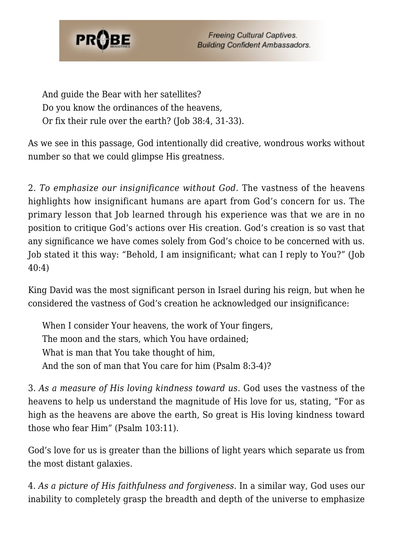

And guide the Bear with her satellites? Do you know the ordinances of the heavens, Or fix their rule over the earth? (Job 38:4, 31-33).

As we see in this passage, God intentionally did creative, wondrous works without number so that we could glimpse His greatness.

2. *To emphasize our insignificance without God.* The vastness of the heavens highlights how insignificant humans are apart from God's concern for us. The primary lesson that Job learned through his experience was that we are in no position to critique God's actions over His creation. God's creation is so vast that any significance we have comes solely from God's choice to be concerned with us. Job stated it this way: "Behold, I am insignificant; what can I reply to You?" (Job 40:4)

King David was the most significant person in Israel during his reign, but when he considered the vastness of God's creation he acknowledged our insignificance:

When I consider Your heavens, the work of Your fingers, The moon and the stars, which You have ordained; What is man that You take thought of him, And the son of man that You care for him (Psalm 8:3-4)?

3. *As a measure of His loving kindness toward us.* God uses the vastness of the heavens to help us understand the magnitude of His love for us, stating, "For as high as the heavens are above the earth, So great is His loving kindness toward those who fear Him" (Psalm 103:11).

God's love for us is greater than the billions of light years which separate us from the most distant galaxies.

4. *As a picture of His faithfulness and forgiveness.* In a similar way, God uses our inability to completely grasp the breadth and depth of the universe to emphasize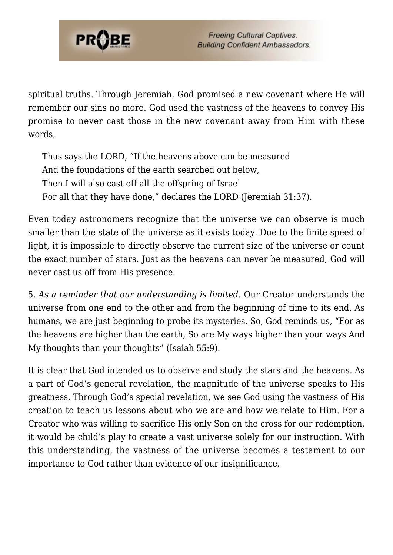

spiritual truths. Through Jeremiah, God promised a new covenant where He will remember our sins no more. God used the vastness of the heavens to convey His promise to never cast those in the new covenant away from Him with these words,

Thus says the LORD, "If the heavens above can be measured And the foundations of the earth searched out below, Then I will also cast off all the offspring of Israel For all that they have done," declares the LORD (Jeremiah 31:37).

Even today astronomers recognize that the universe we can observe is much smaller than the state of the universe as it exists today. Due to the finite speed of light, it is impossible to directly observe the current size of the universe or count the exact number of stars. Just as the heavens can never be measured, God will never cast us off from His presence.

5. *As a reminder that our understanding is limited.* Our Creator understands the universe from one end to the other and from the beginning of time to its end. As humans, we are just beginning to probe its mysteries. So, God reminds us, "For as the heavens are higher than the earth, So are My ways higher than your ways And My thoughts than your thoughts" (Isaiah 55:9).

It is clear that God intended us to observe and study the stars and the heavens. As a part of God's general revelation, the magnitude of the universe speaks to His greatness. Through God's special revelation, we see God using the vastness of His creation to teach us lessons about who we are and how we relate to Him. For a Creator who was willing to sacrifice His only Son on the cross for our redemption, it would be child's play to create a vast universe solely for our instruction. With this understanding, the vastness of the universe becomes a testament to our importance to God rather than evidence of our insignificance.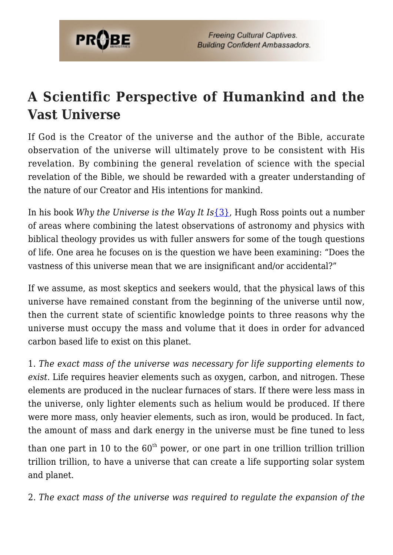

### **A Scientific Perspective of Humankind and the Vast Universe**

If God is the Creator of the universe and the author of the Bible, accurate observation of the universe will ultimately prove to be consistent with His revelation. By combining the general revelation of science with the special revelation of the Bible, we should be rewarded with a greater understanding of the nature of our Creator and His intentions for mankind.

In his book *Why the Universe is the Way It Is*[{3},](#page-80-2) Hugh Ross points out a number of areas where combining the latest observations of astronomy and physics with biblical theology provides us with fuller answers for some of the tough questions of life. One area he focuses on is the question we have been examining: "Does the vastness of this universe mean that we are insignificant and/or accidental?"

If we assume, as most skeptics and seekers would, that the physical laws of this universe have remained constant from the beginning of the universe until now, then the current state of scientific knowledge points to three reasons why the universe must occupy the mass and volume that it does in order for advanced carbon based life to exist on this planet.

1. *The exact mass of the universe was necessary for life supporting elements to exist*. Life requires heavier elements such as oxygen, carbon, and nitrogen. These elements are produced in the nuclear furnaces of stars. If there were less mass in the universe, only lighter elements such as helium would be produced. If there were more mass, only heavier elements, such as iron, would be produced. In fact, the amount of mass and dark energy in the universe must be fine tuned to less

than one part in 10 to the  $60<sup>th</sup>$  power, or one part in one trillion trillion trillion trillion trillion, to have a universe that can create a life supporting solar system and planet.

2. *The exact mass of the universe was required to regulate the expansion of the*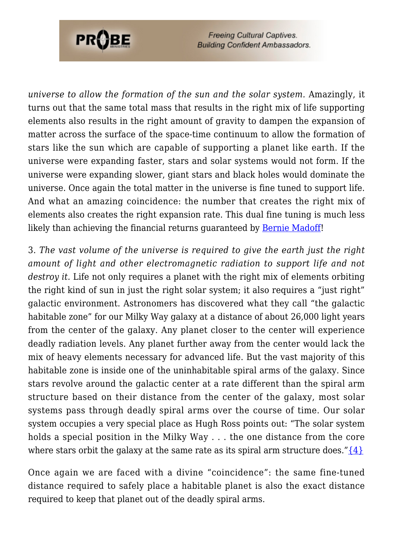

*universe to allow the formation of the sun and the solar system.* Amazingly, it turns out that the same total mass that results in the right mix of life supporting elements also results in the right amount of gravity to dampen the expansion of matter across the surface of the space-time continuum to allow the formation of stars like the sun which are capable of supporting a planet like earth. If the universe were expanding faster, stars and solar systems would not form. If the universe were expanding slower, giant stars and black holes would dominate the universe. Once again the total matter in the universe is fine tuned to support life. And what an amazing coincidence: the number that creates the right mix of elements also creates the right expansion rate. This dual fine tuning is much less likely than achieving the financial returns guaranteed by [Bernie Madoff!](http://en.wikipedia.org/wiki/Bernard_Madoff)

3. *The vast volume of the universe is required to give the earth just the right amount of light and other electromagnetic radiation to support life and not destroy it.* Life not only requires a planet with the right mix of elements orbiting the right kind of sun in just the right solar system; it also requires a "just right" galactic environment. Astronomers has discovered what they call "the galactic habitable zone" for our Milky Way galaxy at a distance of about 26,000 light years from the center of the galaxy. Any planet closer to the center will experience deadly radiation levels. Any planet further away from the center would lack the mix of heavy elements necessary for advanced life. But the vast majority of this habitable zone is inside one of the uninhabitable spiral arms of the galaxy. Since stars revolve around the galactic center at a rate different than the spiral arm structure based on their distance from the center of the galaxy, most solar systems pass through deadly spiral arms over the course of time. Our solar system occupies a very special place as Hugh Ross points out: "The solar system holds a special position in the Milky Way . . . the one distance from the core where stars orbit the galaxy at the same rate as its spiral arm structure does." $\{4\}$ 

Once again we are faced with a divine "coincidence": the same fine-tuned distance required to safely place a habitable planet is also the exact distance required to keep that planet out of the deadly spiral arms.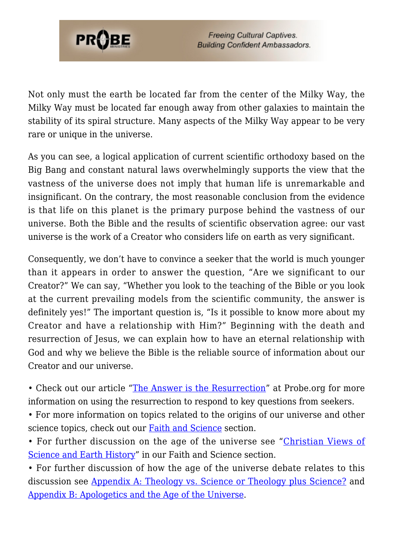

Not only must the earth be located far from the center of the Milky Way, the Milky Way must be located far enough away from other galaxies to maintain the stability of its spiral structure. Many aspects of the Milky Way appear to be very rare or unique in the universe.

As you can see, a logical application of current scientific orthodoxy based on the Big Bang and constant natural laws overwhelmingly supports the view that the vastness of the universe does not imply that human life is unremarkable and insignificant. On the contrary, the most reasonable conclusion from the evidence is that life on this planet is the primary purpose behind the vastness of our universe. Both the Bible and the results of scientific observation agree: our vast universe is the work of a Creator who considers life on earth as very significant.

Consequently, we don't have to convince a seeker that the world is much younger than it appears in order to answer the question, "Are we significant to our Creator?" We can say, "Whether you look to the teaching of the Bible or you look at the current prevailing models from the scientific community, the answer is definitely yes!" The important question is, "Is it possible to know more about my Creator and have a relationship with Him?" Beginning with the death and resurrection of Jesus, we can explain how to have an eternal relationship with God and why we believe the Bible is the reliable source of information about our Creator and our universe.

• Check out our article "[The Answer is the Resurrection"](https://www.probe.org/the-answer-is-the-resurrection/) at Probe.org for more information on using the resurrection to respond to key questions from seekers.

• For more information on topics related to the origins of our universe and other science topics, check out our **Faith and Science** section.

• For further discussion on the age of the universe see "[Christian Views of](https://www.probe.org/christian-views-of-science-and-earth-history/) [Science and Earth History](https://www.probe.org/christian-views-of-science-and-earth-history/)" in our Faith and Science section.

• For further discussion of how the age of the universe debate relates to this discussion see [Appendix A: Theology vs. Science or Theology plus Science?](https://www.probe.org/theology-vs-science-or-theology-plus-science/) and [Appendix B: Apologetics and the Age of the Universe](https://www.probe.org/apologetics-and-the-age-of-the-universe/).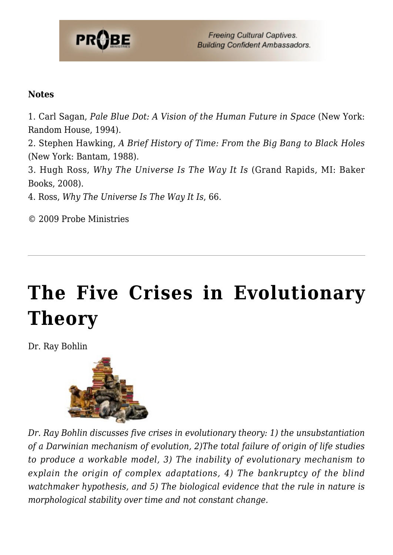

#### **Notes**

1. Carl Sagan, *Pale Blue Dot: A Vision of the Human Future in Space* (New York: Random House, 1994).

2. Stephen Hawking, *A Brief History of Time: From the Big Bang to Black Holes* (New York: Bantam, 1988).

3. Hugh Ross, *Why The Universe Is The Way It Is* (Grand Rapids, MI: Baker Books, 2008).

4. Ross, *Why The Universe Is The Way It Is*, 66.

© 2009 Probe Ministries

# **[The Five Crises in Evolutionary](https://probe.org/the-five-crises-in-evolutionary-theory/) [Theory](https://probe.org/the-five-crises-in-evolutionary-theory/)**

Dr. Ray Bohlin



*Dr. Ray Bohlin discusses five crises in evolutionary theory: 1) the unsubstantiation of a Darwinian mechanism of evolution, 2)The total failure of origin of life studies to produce a workable model, 3) The inability of evolutionary mechanism to explain the origin of complex adaptations, 4) The bankruptcy of the blind watchmaker hypothesis, and 5) The biological evidence that the rule in nature is morphological stability over time and not constant change.*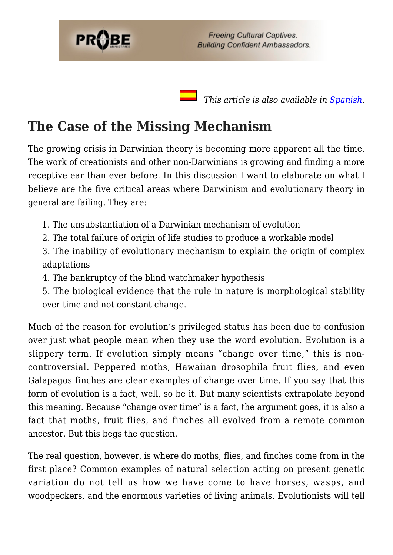

 *This article is also available in [Spanish.](https://ministeriosprobe.org/docs/cinco-crisis.html)*

# **The Case of the Missing Mechanism**

The growing crisis in Darwinian theory is becoming more apparent all the time. The work of creationists and other non-Darwinians is growing and finding a more receptive ear than ever before. In this discussion I want to elaborate on what I believe are the five critical areas where Darwinism and evolutionary theory in general are failing. They are:

1. The unsubstantiation of a Darwinian mechanism of evolution

- 2. The total failure of origin of life studies to produce a workable model
- 3. The inability of evolutionary mechanism to explain the origin of complex adaptations
- 4. The bankruptcy of the blind watchmaker hypothesis
- 5. The biological evidence that the rule in nature is morphological stability over time and not constant change.

Much of the reason for evolution's privileged status has been due to confusion over just what people mean when they use the word evolution. Evolution is a slippery term. If evolution simply means "change over time," this is noncontroversial. Peppered moths, Hawaiian drosophila fruit flies, and even Galapagos finches are clear examples of change over time. If you say that this form of evolution is a fact, well, so be it. But many scientists extrapolate beyond this meaning. Because "change over time" is a fact, the argument goes, it is also a fact that moths, fruit flies, and finches all evolved from a remote common ancestor. But this begs the question.

The real question, however, is where do moths, flies, and finches come from in the first place? Common examples of natural selection acting on present genetic variation do not tell us how we have come to have horses, wasps, and woodpeckers, and the enormous varieties of living animals. Evolutionists will tell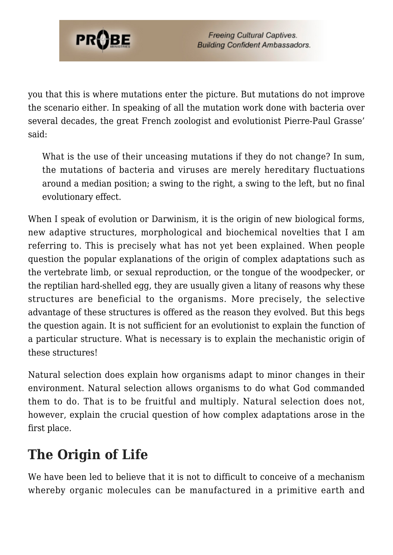

you that this is where mutations enter the picture. But mutations do not improve the scenario either. In speaking of all the mutation work done with bacteria over several decades, the great French zoologist and evolutionist Pierre-Paul Grasse' said:

What is the use of their unceasing mutations if they do not change? In sum, the mutations of bacteria and viruses are merely hereditary fluctuations around a median position; a swing to the right, a swing to the left, but no final evolutionary effect.

When I speak of evolution or Darwinism, it is the origin of new biological forms, new adaptive structures, morphological and biochemical novelties that I am referring to. This is precisely what has not yet been explained. When people question the popular explanations of the origin of complex adaptations such as the vertebrate limb, or sexual reproduction, or the tongue of the woodpecker, or the reptilian hard-shelled egg, they are usually given a litany of reasons why these structures are beneficial to the organisms. More precisely, the selective advantage of these structures is offered as the reason they evolved. But this begs the question again. It is not sufficient for an evolutionist to explain the function of a particular structure. What is necessary is to explain the mechanistic origin of these structures!

Natural selection does explain how organisms adapt to minor changes in their environment. Natural selection allows organisms to do what God commanded them to do. That is to be fruitful and multiply. Natural selection does not, however, explain the crucial question of how complex adaptations arose in the first place.

# **The Origin of Life**

We have been led to believe that it is not to difficult to conceive of a mechanism whereby organic molecules can be manufactured in a primitive earth and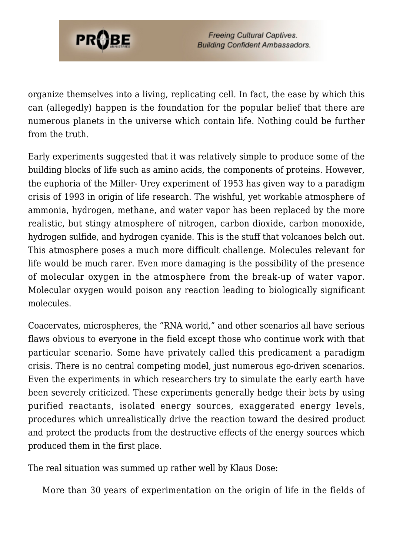

organize themselves into a living, replicating cell. In fact, the ease by which this can (allegedly) happen is the foundation for the popular belief that there are numerous planets in the universe which contain life. Nothing could be further from the truth.

Early experiments suggested that it was relatively simple to produce some of the building blocks of life such as amino acids, the components of proteins. However, the euphoria of the Miller- Urey experiment of 1953 has given way to a paradigm crisis of 1993 in origin of life research. The wishful, yet workable atmosphere of ammonia, hydrogen, methane, and water vapor has been replaced by the more realistic, but stingy atmosphere of nitrogen, carbon dioxide, carbon monoxide, hydrogen sulfide, and hydrogen cyanide. This is the stuff that volcanoes belch out. This atmosphere poses a much more difficult challenge. Molecules relevant for life would be much rarer. Even more damaging is the possibility of the presence of molecular oxygen in the atmosphere from the break-up of water vapor. Molecular oxygen would poison any reaction leading to biologically significant molecules.

Coacervates, microspheres, the "RNA world," and other scenarios all have serious flaws obvious to everyone in the field except those who continue work with that particular scenario. Some have privately called this predicament a paradigm crisis. There is no central competing model, just numerous ego-driven scenarios. Even the experiments in which researchers try to simulate the early earth have been severely criticized. These experiments generally hedge their bets by using purified reactants, isolated energy sources, exaggerated energy levels, procedures which unrealistically drive the reaction toward the desired product and protect the products from the destructive effects of the energy sources which produced them in the first place.

The real situation was summed up rather well by Klaus Dose:

More than 30 years of experimentation on the origin of life in the fields of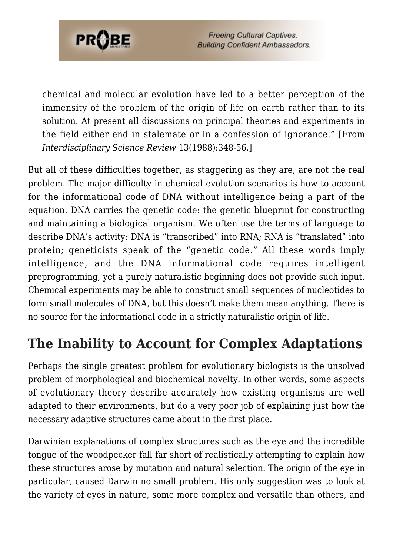

chemical and molecular evolution have led to a better perception of the immensity of the problem of the origin of life on earth rather than to its solution. At present all discussions on principal theories and experiments in the field either end in stalemate or in a confession of ignorance." [From *Interdisciplinary Science Review* 13(1988):348-56.]

But all of these difficulties together, as staggering as they are, are not the real problem. The major difficulty in chemical evolution scenarios is how to account for the informational code of DNA without intelligence being a part of the equation. DNA carries the genetic code: the genetic blueprint for constructing and maintaining a biological organism. We often use the terms of language to describe DNA's activity: DNA is "transcribed" into RNA; RNA is "translated" into protein; geneticists speak of the "genetic code." All these words imply intelligence, and the DNA informational code requires intelligent preprogramming, yet a purely naturalistic beginning does not provide such input. Chemical experiments may be able to construct small sequences of nucleotides to form small molecules of DNA, but this doesn't make them mean anything. There is no source for the informational code in a strictly naturalistic origin of life.

# **The Inability to Account for Complex Adaptations**

Perhaps the single greatest problem for evolutionary biologists is the unsolved problem of morphological and biochemical novelty. In other words, some aspects of evolutionary theory describe accurately how existing organisms are well adapted to their environments, but do a very poor job of explaining just how the necessary adaptive structures came about in the first place.

Darwinian explanations of complex structures such as the eye and the incredible tongue of the woodpecker fall far short of realistically attempting to explain how these structures arose by mutation and natural selection. The origin of the eye in particular, caused Darwin no small problem. His only suggestion was to look at the variety of eyes in nature, some more complex and versatile than others, and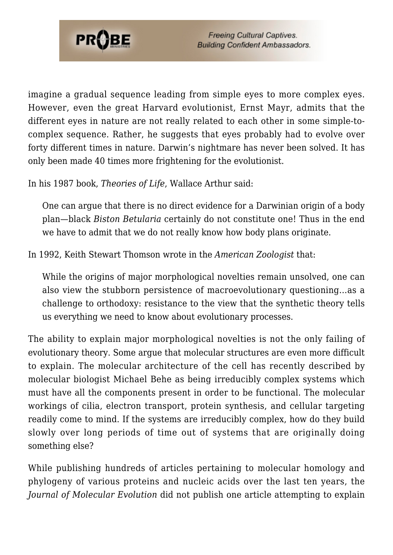

imagine a gradual sequence leading from simple eyes to more complex eyes. However, even the great Harvard evolutionist, Ernst Mayr, admits that the different eyes in nature are not really related to each other in some simple-tocomplex sequence. Rather, he suggests that eyes probably had to evolve over forty different times in nature. Darwin's nightmare has never been solved. It has only been made 40 times more frightening for the evolutionist.

In his 1987 book, *Theories of Life*, Wallace Arthur said:

One can argue that there is no direct evidence for a Darwinian origin of a body plan—black *Biston Betularia* certainly do not constitute one! Thus in the end we have to admit that we do not really know how body plans originate.

In 1992, Keith Stewart Thomson wrote in the *American Zoologist* that:

While the origins of major morphological novelties remain unsolved, one can also view the stubborn persistence of macroevolutionary questioning…as a challenge to orthodoxy: resistance to the view that the synthetic theory tells us everything we need to know about evolutionary processes.

The ability to explain major morphological novelties is not the only failing of evolutionary theory. Some argue that molecular structures are even more difficult to explain. The molecular architecture of the cell has recently described by molecular biologist Michael Behe as being irreducibly complex systems which must have all the components present in order to be functional. The molecular workings of cilia, electron transport, protein synthesis, and cellular targeting readily come to mind. If the systems are irreducibly complex, how do they build slowly over long periods of time out of systems that are originally doing something else?

While publishing hundreds of articles pertaining to molecular homology and phylogeny of various proteins and nucleic acids over the last ten years, the *Journal of Molecular Evolution* did not publish one article attempting to explain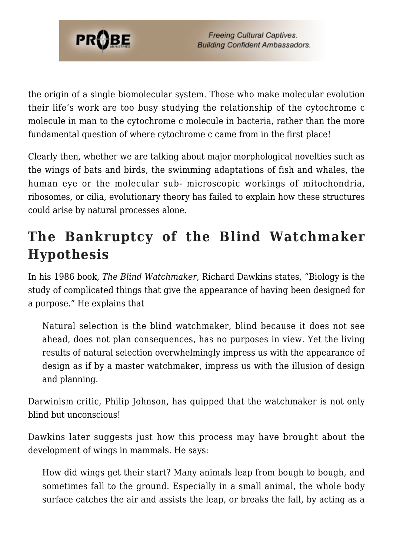

the origin of a single biomolecular system. Those who make molecular evolution their life's work are too busy studying the relationship of the cytochrome c molecule in man to the cytochrome c molecule in bacteria, rather than the more fundamental question of where cytochrome c came from in the first place!

Clearly then, whether we are talking about major morphological novelties such as the wings of bats and birds, the swimming adaptations of fish and whales, the human eye or the molecular sub- microscopic workings of mitochondria, ribosomes, or cilia, evolutionary theory has failed to explain how these structures could arise by natural processes alone.

# **The Bankruptcy of the Blind Watchmaker Hypothesis**

In his 1986 book, *The Blind Watchmaker*, Richard Dawkins states, "Biology is the study of complicated things that give the appearance of having been designed for a purpose." He explains that

Natural selection is the blind watchmaker, blind because it does not see ahead, does not plan consequences, has no purposes in view. Yet the living results of natural selection overwhelmingly impress us with the appearance of design as if by a master watchmaker, impress us with the illusion of design and planning.

Darwinism critic, Philip Johnson, has quipped that the watchmaker is not only blind but unconscious!

Dawkins later suggests just how this process may have brought about the development of wings in mammals. He says:

How did wings get their start? Many animals leap from bough to bough, and sometimes fall to the ground. Especially in a small animal, the whole body surface catches the air and assists the leap, or breaks the fall, by acting as a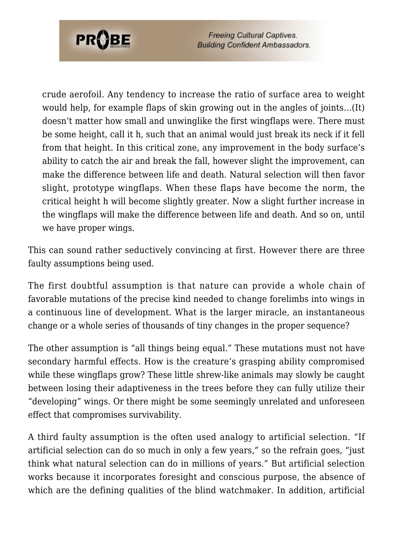

crude aerofoil. Any tendency to increase the ratio of surface area to weight would help, for example flaps of skin growing out in the angles of joints…(It) doesn't matter how small and unwinglike the first wingflaps were. There must be some height, call it h, such that an animal would just break its neck if it fell from that height. In this critical zone, any improvement in the body surface's ability to catch the air and break the fall, however slight the improvement, can make the difference between life and death. Natural selection will then favor slight, prototype wingflaps. When these flaps have become the norm, the critical height h will become slightly greater. Now a slight further increase in the wingflaps will make the difference between life and death. And so on, until we have proper wings.

This can sound rather seductively convincing at first. However there are three faulty assumptions being used.

The first doubtful assumption is that nature can provide a whole chain of favorable mutations of the precise kind needed to change forelimbs into wings in a continuous line of development. What is the larger miracle, an instantaneous change or a whole series of thousands of tiny changes in the proper sequence?

The other assumption is "all things being equal." These mutations must not have secondary harmful effects. How is the creature's grasping ability compromised while these wingflaps grow? These little shrew-like animals may slowly be caught between losing their adaptiveness in the trees before they can fully utilize their "developing" wings. Or there might be some seemingly unrelated and unforeseen effect that compromises survivability.

A third faulty assumption is the often used analogy to artificial selection. "If artificial selection can do so much in only a few years," so the refrain goes, "just think what natural selection can do in millions of years." But artificial selection works because it incorporates foresight and conscious purpose, the absence of which are the defining qualities of the blind watchmaker. In addition, artificial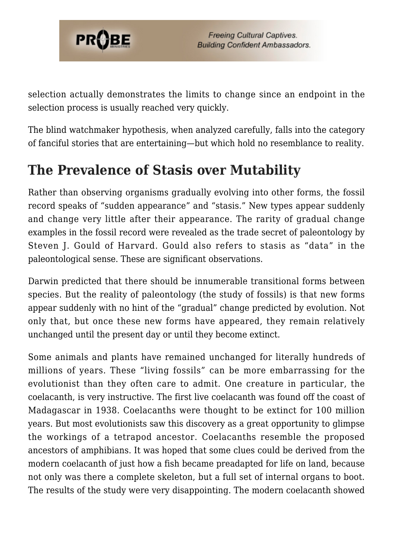

selection actually demonstrates the limits to change since an endpoint in the selection process is usually reached very quickly.

The blind watchmaker hypothesis, when analyzed carefully, falls into the category of fanciful stories that are entertaining—but which hold no resemblance to reality.

# **The Prevalence of Stasis over Mutability**

Rather than observing organisms gradually evolving into other forms, the fossil record speaks of "sudden appearance" and "stasis." New types appear suddenly and change very little after their appearance. The rarity of gradual change examples in the fossil record were revealed as the trade secret of paleontology by Steven J. Gould of Harvard. Gould also refers to stasis as "data" in the paleontological sense. These are significant observations.

Darwin predicted that there should be innumerable transitional forms between species. But the reality of paleontology (the study of fossils) is that new forms appear suddenly with no hint of the "gradual" change predicted by evolution. Not only that, but once these new forms have appeared, they remain relatively unchanged until the present day or until they become extinct.

Some animals and plants have remained unchanged for literally hundreds of millions of years. These "living fossils" can be more embarrassing for the evolutionist than they often care to admit. One creature in particular, the coelacanth, is very instructive. The first live coelacanth was found off the coast of Madagascar in 1938. Coelacanths were thought to be extinct for 100 million years. But most evolutionists saw this discovery as a great opportunity to glimpse the workings of a tetrapod ancestor. Coelacanths resemble the proposed ancestors of amphibians. It was hoped that some clues could be derived from the modern coelacanth of just how a fish became preadapted for life on land, because not only was there a complete skeleton, but a full set of internal organs to boot. The results of the study were very disappointing. The modern coelacanth showed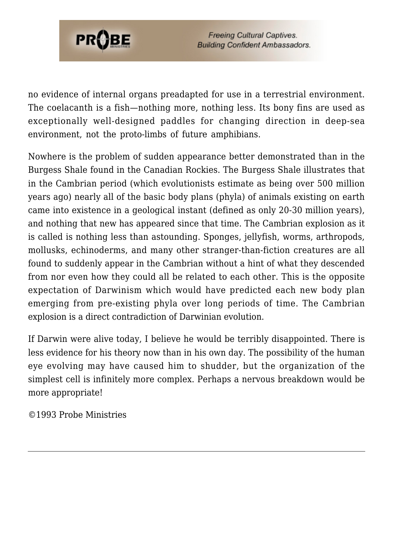

no evidence of internal organs preadapted for use in a terrestrial environment. The coelacanth is a fish—nothing more, nothing less. Its bony fins are used as exceptionally well-designed paddles for changing direction in deep-sea environment, not the proto-limbs of future amphibians.

Nowhere is the problem of sudden appearance better demonstrated than in the Burgess Shale found in the Canadian Rockies. The Burgess Shale illustrates that in the Cambrian period (which evolutionists estimate as being over 500 million years ago) nearly all of the basic body plans (phyla) of animals existing on earth came into existence in a geological instant (defined as only 20-30 million years), and nothing that new has appeared since that time. The Cambrian explosion as it is called is nothing less than astounding. Sponges, jellyfish, worms, arthropods, mollusks, echinoderms, and many other stranger-than-fiction creatures are all found to suddenly appear in the Cambrian without a hint of what they descended from nor even how they could all be related to each other. This is the opposite expectation of Darwinism which would have predicted each new body plan emerging from pre-existing phyla over long periods of time. The Cambrian explosion is a direct contradiction of Darwinian evolution.

If Darwin were alive today, I believe he would be terribly disappointed. There is less evidence for his theory now than in his own day. The possibility of the human eye evolving may have caused him to shudder, but the organization of the simplest cell is infinitely more complex. Perhaps a nervous breakdown would be more appropriate!

©1993 Probe Ministries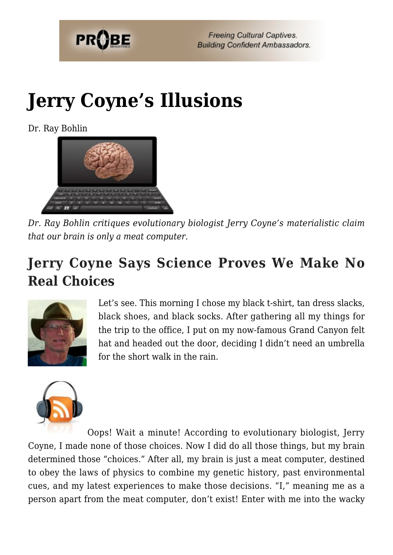

# **[Jerry Coyne's Illusions](https://probe.org/jerry-coynes-illusions/)**

Dr. Ray Bohlin



*Dr. Ray Bohlin critiques evolutionary biologist Jerry Coyne's materialistic claim that our brain is only a meat computer.*

# **Jerry Coyne Says Science Proves We Make No Real Choices**



Let's see. This morning I chose my black t-shirt, tan dress slacks, black shoes, and black socks. After gathering all my things for the trip to the office, I put on my now-famous Grand Canyon felt hat and headed out the door, deciding I didn't need an umbrella for the short walk in the rain.



Oops! Wait a minute! According to evolutionary biologist, Jerry Coyne, I made none of those choices. Now I did do all those things, but my brain determined those "choices." After all, my brain is just a meat computer, destined to obey the laws of physics to combine my genetic history, past environmental cues, and my latest experiences to make those decisions. "I," meaning me as a person apart from the meat computer, don't exist! Enter with me into the wacky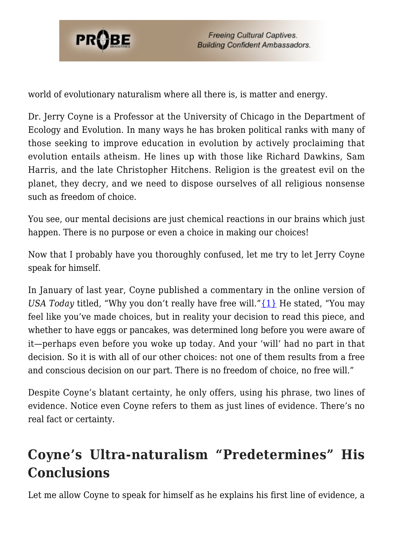

world of evolutionary naturalism where all there is, is matter and energy.

Dr. Jerry Coyne is a Professor at the University of Chicago in the Department of Ecology and Evolution. In many ways he has broken political ranks with many of those seeking to improve education in evolution by actively proclaiming that evolution entails atheism. He lines up with those like Richard Dawkins, Sam Harris, and the late Christopher Hitchens. Religion is the greatest evil on the planet, they decry, and we need to dispose ourselves of all religious nonsense such as freedom of choice.

You see, our mental decisions are just chemical reactions in our brains which just happen. There is no purpose or even a choice in making our choices!

Now that I probably have you thoroughly confused, let me try to let Jerry Coyne speak for himself.

In January of last year, Coyne published a commentary in the online version of *USA Today titled, "Why you don't really have free will." [{1}](#page-80-0) He stated, "You may* feel like you've made choices, but in reality your decision to read this piece, and whether to have eggs or pancakes, was determined long before you were aware of it—perhaps even before you woke up today. And your 'will' had no part in that decision. So it is with all of our other choices: not one of them results from a free and conscious decision on our part. There is no freedom of choice, no free will."

Despite Coyne's blatant certainty, he only offers, using his phrase, two lines of evidence. Notice even Coyne refers to them as just lines of evidence. There's no real fact or certainty.

# **Coyne's Ultra-naturalism "Predetermines" His Conclusions**

Let me allow Coyne to speak for himself as he explains his first line of evidence, a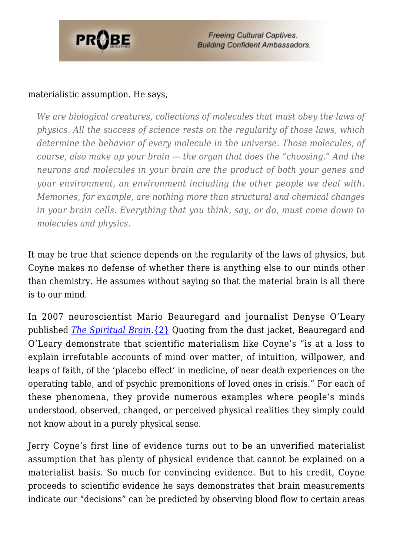

#### materialistic assumption. He says,

*We are biological creatures, collections of molecules that must obey the laws of physics. All the success of science rests on the regularity of those laws, which determine the behavior of every molecule in the universe. Those molecules, of course, also make up your brain — the organ that does the "choosing." And the neurons and molecules in your brain are the product of both your genes and your environment, an environment including the other people we deal with. Memories, for example, are nothing more than structural and chemical changes in your brain cells. Everything that you think, say, or do, must come down to molecules and physics.*

It may be true that science depends on the regularity of the laws of physics, but Coyne makes no defense of whether there is anything else to our minds other than chemistry. He assumes without saying so that the material brain is all there is to our mind.

In 2007 neuroscientist Mario Beauregard and journalist Denyse O'Leary published *[The Spiritual Brain](https://www.probe.org/the-spiritual-brain/)*.[{2}](#page-80-1) Quoting from the dust jacket, Beauregard and O'Leary demonstrate that scientific materialism like Coyne's "is at a loss to explain irrefutable accounts of mind over matter, of intuition, willpower, and leaps of faith, of the 'placebo effect' in medicine, of near death experiences on the operating table, and of psychic premonitions of loved ones in crisis." For each of these phenomena, they provide numerous examples where people's minds understood, observed, changed, or perceived physical realities they simply could not know about in a purely physical sense.

Jerry Coyne's first line of evidence turns out to be an unverified materialist assumption that has plenty of physical evidence that cannot be explained on a materialist basis. So much for convincing evidence. But to his credit, Coyne proceeds to scientific evidence he says demonstrates that brain measurements indicate our "decisions" can be predicted by observing blood flow to certain areas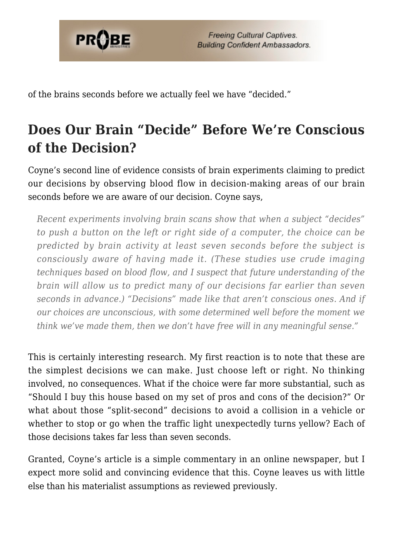

of the brains seconds before we actually feel we have "decided."

# **Does Our Brain "Decide" Before We're Conscious of the Decision?**

Coyne's second line of evidence consists of brain experiments claiming to predict our decisions by observing blood flow in decision-making areas of our brain seconds before we are aware of our decision. Coyne says,

*Recent experiments involving brain scans show that when a subject "decides" to push a button on the left or right side of a computer, the choice can be predicted by brain activity at least seven seconds before the subject is consciously aware of having made it. (These studies use crude imaging techniques based on blood flow, and I suspect that future understanding of the brain will allow us to predict many of our decisions far earlier than seven seconds in advance.) "Decisions" made like that aren't conscious ones. And if our choices are unconscious, with some determined well before the moment we think we've made them, then we don't have free will in any meaningful sense."*

This is certainly interesting research. My first reaction is to note that these are the simplest decisions we can make. Just choose left or right. No thinking involved, no consequences. What if the choice were far more substantial, such as "Should I buy this house based on my set of pros and cons of the decision?" Or what about those "split-second" decisions to avoid a collision in a vehicle or whether to stop or go when the traffic light unexpectedly turns yellow? Each of those decisions takes far less than seven seconds.

Granted, Coyne's article is a simple commentary in an online newspaper, but I expect more solid and convincing evidence that this. Coyne leaves us with little else than his materialist assumptions as reviewed previously.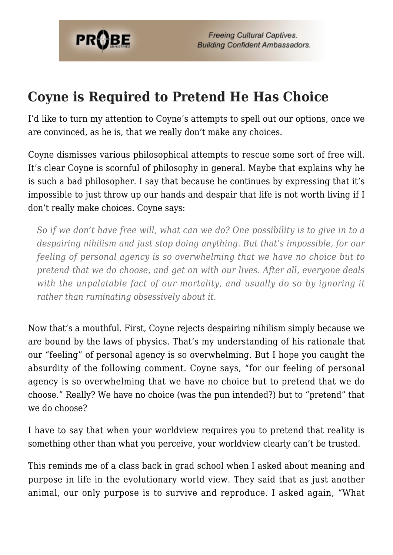

### **Coyne is Required to Pretend He Has Choice**

I'd like to turn my attention to Coyne's attempts to spell out our options, once we are convinced, as he is, that we really don't make any choices.

Coyne dismisses various philosophical attempts to rescue some sort of free will. It's clear Coyne is scornful of philosophy in general. Maybe that explains why he is such a bad philosopher. I say that because he continues by expressing that it's impossible to just throw up our hands and despair that life is not worth living if I don't really make choices. Coyne says:

*So if we don't have free will, what can we do? One possibility is to give in to a despairing nihilism and just stop doing anything. But that's impossible, for our feeling of personal agency is so overwhelming that we have no choice but to pretend that we do choose, and get on with our lives. After all, everyone deals with the unpalatable fact of our mortality, and usually do so by ignoring it rather than ruminating obsessively about it.*

Now that's a mouthful. First, Coyne rejects despairing nihilism simply because we are bound by the laws of physics. That's my understanding of his rationale that our "feeling" of personal agency is so overwhelming. But I hope you caught the absurdity of the following comment. Coyne says, "for our feeling of personal agency is so overwhelming that we have no choice but to pretend that we do choose." Really? We have no choice (was the pun intended?) but to "pretend" that we do choose?

I have to say that when your worldview requires you to pretend that reality is something other than what you perceive, your worldview clearly can't be trusted.

This reminds me of a class back in grad school when I asked about meaning and purpose in life in the evolutionary world view. They said that as just another animal, our only purpose is to survive and reproduce. I asked again, "What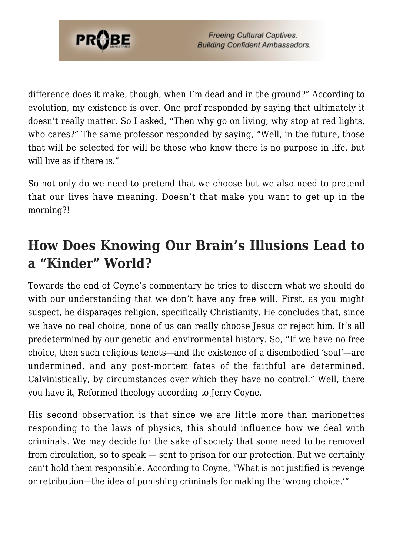

difference does it make, though, when I'm dead and in the ground?" According to evolution, my existence is over. One prof responded by saying that ultimately it doesn't really matter. So I asked, "Then why go on living, why stop at red lights, who cares?" The same professor responded by saying, "Well, in the future, those that will be selected for will be those who know there is no purpose in life, but will live as if there is."

So not only do we need to pretend that we choose but we also need to pretend that our lives have meaning. Doesn't that make you want to get up in the morning?!

# **How Does Knowing Our Brain's Illusions Lead to a "Kinder" World?**

Towards the end of Coyne's commentary he tries to discern what we should do with our understanding that we don't have any free will. First, as you might suspect, he disparages religion, specifically Christianity. He concludes that, since we have no real choice, none of us can really choose Jesus or reject him. It's all predetermined by our genetic and environmental history. So, "If we have no free choice, then such religious tenets—and the existence of a disembodied 'soul'—are undermined, and any post-mortem fates of the faithful are determined, Calvinistically, by circumstances over which they have no control." Well, there you have it, Reformed theology according to Jerry Coyne.

His second observation is that since we are little more than marionettes responding to the laws of physics, this should influence how we deal with criminals. We may decide for the sake of society that some need to be removed from circulation, so to speak — sent to prison for our protection. But we certainly can't hold them responsible. According to Coyne, "What is not justified is revenge or retribution—the idea of punishing criminals for making the 'wrong choice.'"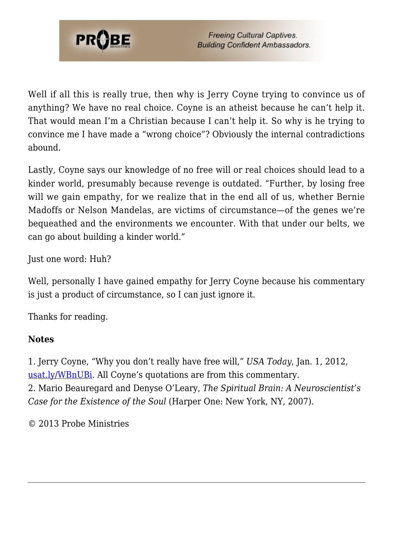

Well if all this is really true, then why is Jerry Coyne trying to convince us of anything? We have no real choice. Coyne is an atheist because he can't help it. That would mean I'm a Christian because I can't help it. So why is he trying to convince me I have made a "wrong choice"? Obviously the internal contradictions abound.

Lastly, Coyne says our knowledge of no free will or real choices should lead to a kinder world, presumably because revenge is outdated. "Further, by losing free will we gain empathy, for we realize that in the end all of us, whether Bernie Madoffs or Nelson Mandelas, are victims of circumstance—of the genes we're bequeathed and the environments we encounter. With that under our belts, we can go about building a kinder world."

Just one word: Huh?

Well, personally I have gained empathy for Jerry Coyne because his commentary is just a product of circumstance, so I can just ignore it.

Thanks for reading.

#### **Notes**

1. Jerry Coyne, "Why you don't really have free will," *USA Today*, Jan. 1, 2012, [usat.ly/WBnUBi.](http://www.usatoday.com/news/opinion/forum/story/2012-01-01/free-will-science-religion/52317624/1) All Coyne's quotations are from this commentary. 2. Mario Beauregard and Denyse O'Leary, *The Spiritual Brain: A Neuroscientist's Case for the Existence of the Soul* (Harper One: New York, NY, 2007).

© 2013 Probe Ministries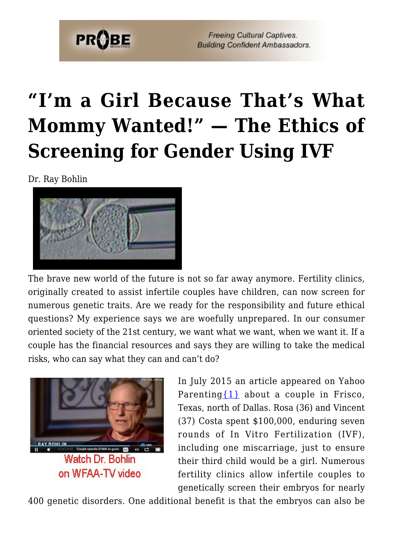

# **["I'm a Girl Because That's What](https://probe.org/im-a-girl-because-thats-what-mommy-wanted-the-ethics-of-screening-for-gender-using-ivf/) [Mommy Wanted!" — The Ethics of](https://probe.org/im-a-girl-because-thats-what-mommy-wanted-the-ethics-of-screening-for-gender-using-ivf/) [Screening for Gender Using IVF](https://probe.org/im-a-girl-because-thats-what-mommy-wanted-the-ethics-of-screening-for-gender-using-ivf/)**

Dr. Ray Bohlin



The brave new world of the future is not so far away anymore. Fertility clinics, originally created to assist infertile couples have children, can now screen for numerous genetic traits. Are we ready for the responsibility and future ethical questions? My experience says we are woefully unprepared. In our consumer oriented society of the 21st century, we want what we want, when we want it. If a couple has the financial resources and says they are willing to take the medical risks, who can say what they can and can't do?



In July 2015 an article appeared on Yahoo Parenting  $\{1\}$  about a couple in Frisco, Texas, north of Dallas. Rosa (36) and Vincent (37) Costa spent \$100,000, enduring seven rounds of In Vitro Fertilization (IVF), including one miscarriage, just to ensure their third child would be a girl. Numerous fertility clinics allow infertile couples to genetically screen their embryos for nearly

400 genetic disorders. One additional benefit is that the embryos can also be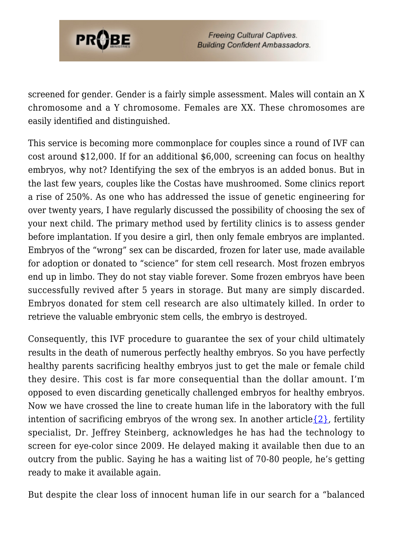

screened for gender. Gender is a fairly simple assessment. Males will contain an X chromosome and a Y chromosome. Females are XX. These chromosomes are easily identified and distinguished.

This service is becoming more commonplace for couples since a round of IVF can cost around \$12,000. If for an additional \$6,000, screening can focus on healthy embryos, why not? Identifying the sex of the embryos is an added bonus. But in the last few years, couples like the Costas have mushroomed. Some clinics report a rise of 250%. As one who has addressed the issue of genetic engineering for over twenty years, I have regularly discussed the possibility of choosing the sex of your next child. The primary method used by fertility clinics is to assess gender before implantation. If you desire a girl, then only female embryos are implanted. Embryos of the "wrong" sex can be discarded, frozen for later use, made available for adoption or donated to "science" for stem cell research. Most frozen embryos end up in limbo. They do not stay viable forever. Some frozen embryos have been successfully revived after 5 years in storage. But many are simply discarded. Embryos donated for stem cell research are also ultimately killed. In order to retrieve the valuable embryonic stem cells, the embryo is destroyed.

Consequently, this IVF procedure to guarantee the sex of your child ultimately results in the death of numerous perfectly healthy embryos. So you have perfectly healthy parents sacrificing healthy embryos just to get the male or female child they desire. This cost is far more consequential than the dollar amount. I'm opposed to even discarding genetically challenged embryos for healthy embryos. Now we have crossed the line to create human life in the laboratory with the full intention of sacrificing embryos of the wrong sex. In another article  $\{2\}$ , fertility specialist, Dr. Jeffrey Steinberg, acknowledges he has had the technology to screen for eye-color since 2009. He delayed making it available then due to an outcry from the public. Saying he has a waiting list of 70-80 people, he's getting ready to make it available again.

But despite the clear loss of innocent human life in our search for a "balanced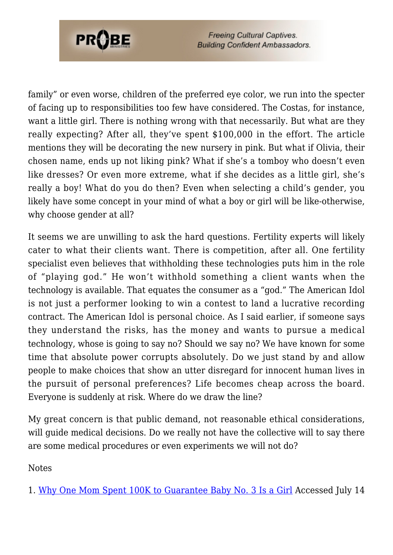

family" or even worse, children of the preferred eye color, we run into the specter of facing up to responsibilities too few have considered. The Costas, for instance, want a little girl. There is nothing wrong with that necessarily. But what are they really expecting? After all, they've spent \$100,000 in the effort. The article mentions they will be decorating the new nursery in pink. But what if Olivia, their chosen name, ends up not liking pink? What if she's a tomboy who doesn't even like dresses? Or even more extreme, what if she decides as a little girl, she's really a boy! What do you do then? Even when selecting a child's gender, you likely have some concept in your mind of what a boy or girl will be like-otherwise, why choose gender at all?

It seems we are unwilling to ask the hard questions. Fertility experts will likely cater to what their clients want. There is competition, after all. One fertility specialist even believes that withholding these technologies puts him in the role of "playing god." He won't withhold something a client wants when the technology is available. That equates the consumer as a "god." The American Idol is not just a performer looking to win a contest to land a lucrative recording contract. The American Idol is personal choice. As I said earlier, if someone says they understand the risks, has the money and wants to pursue a medical technology, whose is going to say no? Should we say no? We have known for some time that absolute power corrupts absolutely. Do we just stand by and allow people to make choices that show an utter disregard for innocent human lives in the pursuit of personal preferences? Life becomes cheap across the board. Everyone is suddenly at risk. Where do we draw the line?

My great concern is that public demand, not reasonable ethical considerations, will guide medical decisions. Do we really not have the collective will to say there are some medical procedures or even experiments we will not do?

Notes

1. [Why One Mom Spent 100K to Guarantee Baby No. 3 Is a Girl](https://www.yahoo.com/parenting/why-one-mom-spent-100k-to-guarantee-baby-no-3-is-123476343652.html) Accessed July 14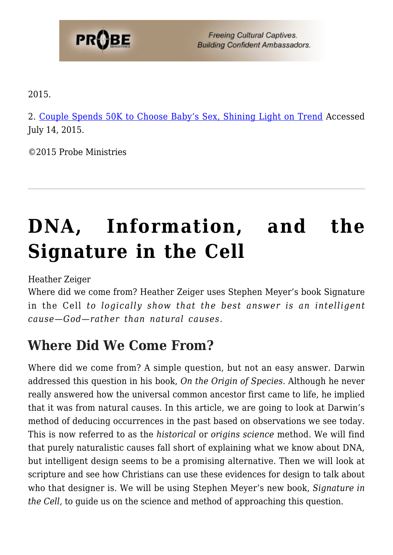

2015.

2. [Couple Spends 50K to Choose Baby's Sex, Shining Light on Trend](https://www.yahoo.com/parenting/couple-spends-50k-to-choose-babys-sex-shining-104416191847.html) Accessed July 14, 2015.

©2015 Probe Ministries

# **[DNA, Information, and the](https://probe.org/dna-information-and-the-signature-in-the-cell/) [Signature in the Cell](https://probe.org/dna-information-and-the-signature-in-the-cell/)**

Heather Zeiger

Where did we come from? Heather Zeiger uses Stephen Meyer's book Signature in the Cell *to logically show that the best answer is an intelligent cause—God—rather than natural causes.*

### **Where Did We Come From?**

Where did we come from? A simple question, but not an easy answer. Darwin addressed this question in his book, *On the Origin of Species*. Although he never really answered how the universal common ancestor first came to life, he implied that it was from natural causes. In this article, we are going to look at Darwin's method of deducing occurrences in the past based on observations we see today. This is now referred to as the *historical* or *origins science* method. We will find that purely naturalistic causes fall short of explaining what we know about DNA, but intelligent design seems to be a promising alternative. Then we will look at scripture and see how Christians can use these evidences for design to talk about who that designer is. We will be using Stephen Meyer's new book, *Signature in the Cell,* to guide us on the science and method of approaching this question.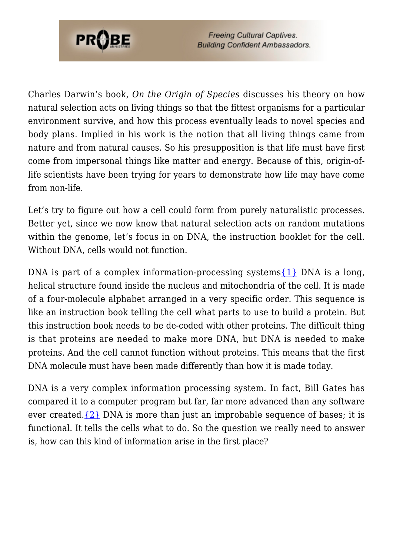

Charles Darwin's book, *On the Origin of Species* discusses his theory on how natural selection acts on living things so that the fittest organisms for a particular environment survive, and how this process eventually leads to novel species and body plans. Implied in his work is the notion that all living things came from nature and from natural causes. So his presupposition is that life must have first come from impersonal things like matter and energy. Because of this, origin-oflife scientists have been trying for years to demonstrate how life may have come from non-life.

Let's try to figure out how a cell could form from purely naturalistic processes. Better yet, since we now know that natural selection acts on random mutations within the genome, let's focus in on DNA, the instruction booklet for the cell. Without DNA, cells would not function.

DNA is part of a complex information-processing systems $\{1\}$  DNA is a long, helical structure found inside the nucleus and mitochondria of the cell. It is made of a four-molecule alphabet arranged in a very specific order. This sequence is like an instruction book telling the cell what parts to use to build a protein. But this instruction book needs to be de-coded with other proteins. The difficult thing is that proteins are needed to make more DNA, but DNA is needed to make proteins. And the cell cannot function without proteins. This means that the first DNA molecule must have been made differently than how it is made today.

DNA is a very complex information processing system. In fact, Bill Gates has compared it to a computer program but far, far more advanced than any software ever created. $\{2\}$  DNA is more than just an improbable sequence of bases; it is functional. It tells the cells what to do. So the question we really need to answer is, how can this kind of information arise in the first place?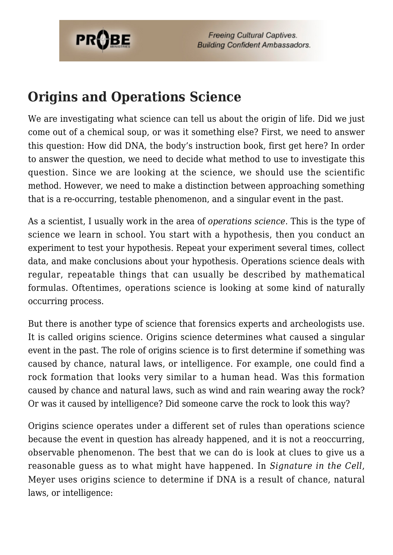

### **Origins and Operations Science**

We are investigating what science can tell us about the origin of life. Did we just come out of a chemical soup, or was it something else? First, we need to answer this question: How did DNA, the body's instruction book, first get here? In order to answer the question, we need to decide what method to use to investigate this question. Since we are looking at the science, we should use the scientific method. However, we need to make a distinction between approaching something that is a re-occurring, testable phenomenon, and a singular event in the past.

As a scientist, I usually work in the area of *operations science*. This is the type of science we learn in school. You start with a hypothesis, then you conduct an experiment to test your hypothesis. Repeat your experiment several times, collect data, and make conclusions about your hypothesis. Operations science deals with regular, repeatable things that can usually be described by mathematical formulas. Oftentimes, operations science is looking at some kind of naturally occurring process.

But there is another type of science that forensics experts and archeologists use. It is called origins science. Origins science determines what caused a singular event in the past. The role of origins science is to first determine if something was caused by chance, natural laws, or intelligence. For example, one could find a rock formation that looks very similar to a human head. Was this formation caused by chance and natural laws, such as wind and rain wearing away the rock? Or was it caused by intelligence? Did someone carve the rock to look this way?

Origins science operates under a different set of rules than operations science because the event in question has already happened, and it is not a reoccurring, observable phenomenon. The best that we can do is look at clues to give us a reasonable guess as to what might have happened. In *Signature in the Cell*, Meyer uses origins science to determine if DNA is a result of chance, natural laws, or intelligence: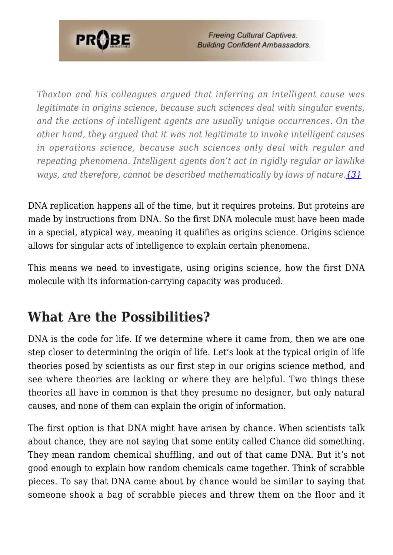

*Thaxton and his colleagues argued that inferring an intelligent cause was legitimate in origins science, because such sciences deal with singular events, and the actions of intelligent agents are usually unique occurrences. On the other hand, they argued that it was not legitimate to invoke intelligent causes in operations science, because such sciences only deal with regular and repeating phenomena. Intelligent agents don't act in rigidly regular or lawlike ways, and therefore, cannot be described mathematically by laws of nature[.{3}](#page-80-2)*

DNA replication happens all of the time, but it requires proteins. But proteins are made by instructions from DNA. So the first DNA molecule must have been made in a special, atypical way, meaning it qualifies as origins science. Origins science allows for singular acts of intelligence to explain certain phenomena.

This means we need to investigate, using origins science, how the first DNA molecule with its information-carrying capacity was produced.

# **What Are the Possibilities?**

DNA is the code for life. If we determine where it came from, then we are one step closer to determining the origin of life. Let's look at the typical origin of life theories posed by scientists as our first step in our origins science method, and see where theories are lacking or where they are helpful. Two things these theories all have in common is that they presume no designer, but only natural causes, and none of them can explain the origin of information.

The first option is that DNA might have arisen by chance. When scientists talk about chance, they are not saying that some entity called Chance did something. They mean random chemical shuffling, and out of that came DNA. But it's not good enough to explain how random chemicals came together. Think of scrabble pieces. To say that DNA came about by chance would be similar to saying that someone shook a bag of scrabble pieces and threw them on the floor and it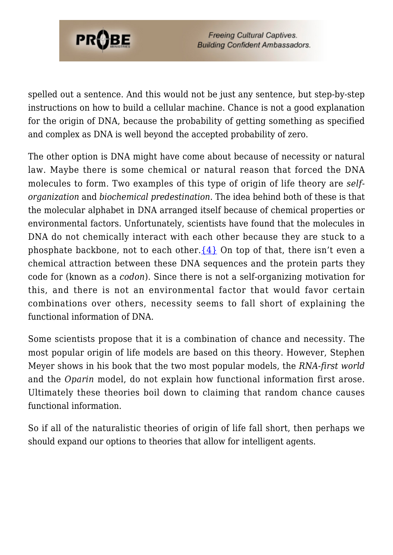

spelled out a sentence. And this would not be just any sentence, but step-by-step instructions on how to build a cellular machine. Chance is not a good explanation for the origin of DNA, because the probability of getting something as specified and complex as DNA is well beyond the accepted probability of zero.

The other option is DNA might have come about because of necessity or natural law. Maybe there is some chemical or natural reason that forced the DNA molecules to form. Two examples of this type of origin of life theory are *selforganization* and *biochemical predestination*. The idea behind both of these is that the molecular alphabet in DNA arranged itself because of chemical properties or environmental factors. Unfortunately, scientists have found that the molecules in DNA do not chemically interact with each other because they are stuck to a phosphate backbone, not to each other.  $\{4\}$  On top of that, there isn't even a chemical attraction between these DNA sequences and the protein parts they code for (known as a *codon*). Since there is not a self-organizing motivation for this, and there is not an environmental factor that would favor certain combinations over others, necessity seems to fall short of explaining the functional information of DNA.

Some scientists propose that it is a combination of chance and necessity. The most popular origin of life models are based on this theory. However, Stephen Meyer shows in his book that the two most popular models, the *RNA-first world* and the *Oparin* model, do not explain how functional information first arose. Ultimately these theories boil down to claiming that random chance causes functional information.

So if all of the naturalistic theories of origin of life fall short, then perhaps we should expand our options to theories that allow for intelligent agents.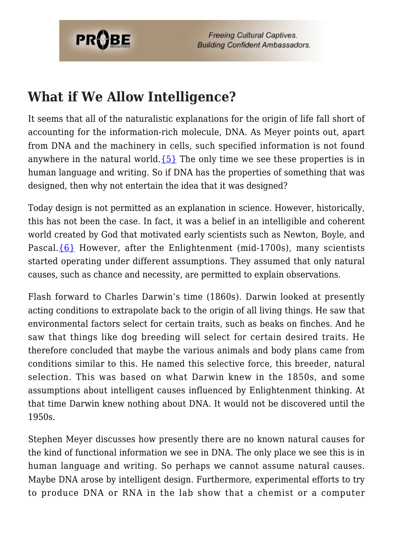

### **What if We Allow Intelligence?**

It seems that all of the naturalistic explanations for the origin of life fall short of accounting for the information-rich molecule, DNA. As Meyer points out, apart from DNA and the machinery in cells, such specified information is not found anywhere in the natural world. ${5}$  The only time we see these properties is in human language and writing. So if DNA has the properties of something that was designed, then why not entertain the idea that it was designed?

Today design is not permitted as an explanation in science. However, historically, this has not been the case. In fact, it was a belief in an intelligible and coherent world created by God that motivated early scientists such as Newton, Boyle, and Pascal. $\{6\}$  However, after the Enlightenment (mid-1700s), many scientists started operating under different assumptions. They assumed that only natural causes, such as chance and necessity, are permitted to explain observations.

Flash forward to Charles Darwin's time (1860s). Darwin looked at presently acting conditions to extrapolate back to the origin of all living things. He saw that environmental factors select for certain traits, such as beaks on finches. And he saw that things like dog breeding will select for certain desired traits. He therefore concluded that maybe the various animals and body plans came from conditions similar to this. He named this selective force, this breeder, natural selection. This was based on what Darwin knew in the 1850s, and some assumptions about intelligent causes influenced by Enlightenment thinking. At that time Darwin knew nothing about DNA. It would not be discovered until the 1950s.

Stephen Meyer discusses how presently there are no known natural causes for the kind of functional information we see in DNA. The only place we see this is in human language and writing. So perhaps we cannot assume natural causes. Maybe DNA arose by intelligent design. Furthermore, experimental efforts to try to produce DNA or RNA in the lab show that a chemist or a computer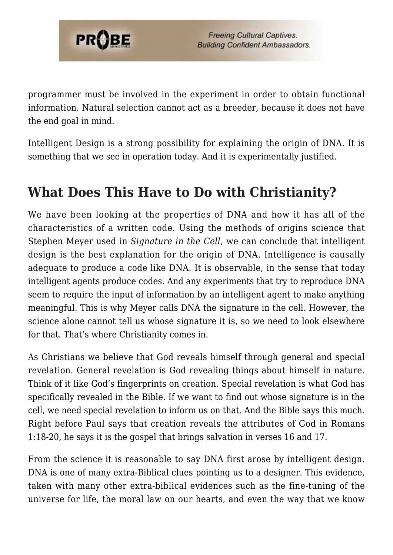

programmer must be involved in the experiment in order to obtain functional information. Natural selection cannot act as a breeder, because it does not have the end goal in mind.

Intelligent Design is a strong possibility for explaining the origin of DNA. It is something that we see in operation today. And it is experimentally justified.

# **What Does This Have to Do with Christianity?**

We have been looking at the properties of DNA and how it has all of the characteristics of a written code. Using the methods of origins science that Stephen Meyer used in *Signature in the Cell*, we can conclude that intelligent design is the best explanation for the origin of DNA. Intelligence is causally adequate to produce a code like DNA. It is observable, in the sense that today intelligent agents produce codes. And any experiments that try to reproduce DNA seem to require the input of information by an intelligent agent to make anything meaningful. This is why Meyer calls DNA the signature in the cell. However, the science alone cannot tell us whose signature it is, so we need to look elsewhere for that. That's where Christianity comes in.

As Christians we believe that God reveals himself through general and special revelation. General revelation is God revealing things about himself in nature. Think of it like God's fingerprints on creation. Special revelation is what God has specifically revealed in the Bible. If we want to find out whose signature is in the cell, we need special revelation to inform us on that. And the Bible says this much. Right before Paul says that creation reveals the attributes of God in Romans 1:18-20, he says it is the gospel that brings salvation in verses 16 and 17.

From the science it is reasonable to say DNA first arose by intelligent design. DNA is one of many extra-Biblical clues pointing us to a designer. This evidence, taken with many other extra-biblical evidences such as the fine-tuning of the universe for life, the moral law on our hearts, and even the way that we know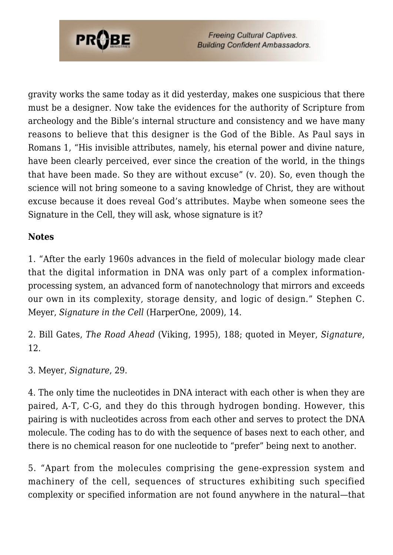

gravity works the same today as it did yesterday, makes one suspicious that there must be a designer. Now take the evidences for the authority of Scripture from archeology and the Bible's internal structure and consistency and we have many reasons to believe that this designer is the God of the Bible. As Paul says in Romans 1, "His invisible attributes, namely, his eternal power and divine nature, have been clearly perceived, ever since the creation of the world, in the things that have been made. So they are without excuse" (v. 20). So, even though the science will not bring someone to a saving knowledge of Christ, they are without excuse because it does reveal God's attributes. Maybe when someone sees the Signature in the Cell, they will ask, whose signature is it?

#### **Notes**

1. "After the early 1960s advances in the field of molecular biology made clear that the digital information in DNA was only part of a complex informationprocessing system, an advanced form of nanotechnology that mirrors and exceeds our own in its complexity, storage density, and logic of design." Stephen C. Meyer, *Signature in the Cell* (HarperOne, 2009), 14.

2. Bill Gates, *The Road Ahead* (Viking, 1995), 188; quoted in Meyer, *Signature*, 12.

3. Meyer, *Signature*, 29.

4. The only time the nucleotides in DNA interact with each other is when they are paired, A-T, C-G, and they do this through hydrogen bonding. However, this pairing is with nucleotides across from each other and serves to protect the DNA molecule. The coding has to do with the sequence of bases next to each other, and there is no chemical reason for one nucleotide to "prefer" being next to another.

5. "Apart from the molecules comprising the gene-expression system and machinery of the cell, sequences of structures exhibiting such specified complexity or specified information are not found anywhere in the natural—that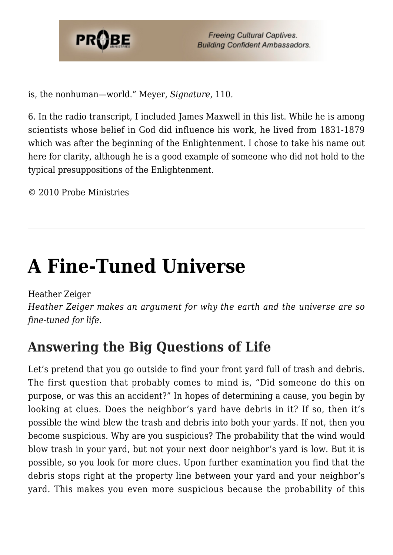

is, the nonhuman—world." Meyer, *Signature*, 110.

6. In the radio transcript, I included James Maxwell in this list. While he is among scientists whose belief in God did influence his work, he lived from 1831-1879 which was after the beginning of the Enlightenment. I chose to take his name out here for clarity, although he is a good example of someone who did not hold to the typical presuppositions of the Enlightenment.

© 2010 Probe Ministries

# **[A Fine-Tuned Universe](https://probe.org/a-fine-tuned-universe/)**

Heather Zeiger

*Heather Zeiger makes an argument for why the earth and the universe are so fine-tuned for life.*

# **Answering the Big Questions of Life**

Let's pretend that you go outside to find your front yard full of trash and debris. The first question that probably comes to mind is, "Did someone do this on purpose, or was this an accident?" In hopes of determining a cause, you begin by looking at clues. Does the neighbor's yard have debris in it? If so, then it's possible the wind blew the trash and debris into both your yards. If not, then you become suspicious. Why are you suspicious? The probability that the wind would blow trash in your yard, but not your next door neighbor's yard is low. But it is possible, so you look for more clues. Upon further examination you find that the debris stops right at the property line between your yard and your neighbor's yard. This makes you even more suspicious because the probability of this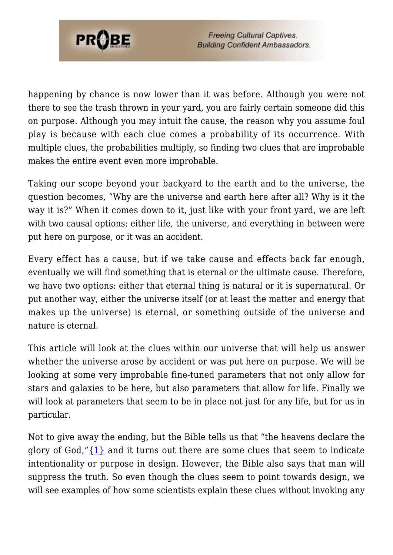

happening by chance is now lower than it was before. Although you were not there to see the trash thrown in your yard, you are fairly certain someone did this on purpose. Although you may intuit the cause, the reason why you assume foul play is because with each clue comes a probability of its occurrence. With multiple clues, the probabilities multiply, so finding two clues that are improbable makes the entire event even more improbable.

Taking our scope beyond your backyard to the earth and to the universe, the question becomes, "Why are the universe and earth here after all? Why is it the way it is?" When it comes down to it, just like with your front yard, we are left with two causal options: either life, the universe, and everything in between were put here on purpose, or it was an accident.

Every effect has a cause, but if we take cause and effects back far enough, eventually we will find something that is eternal or the ultimate cause. Therefore, we have two options: either that eternal thing is natural or it is supernatural. Or put another way, either the universe itself (or at least the matter and energy that makes up the universe) is eternal, or something outside of the universe and nature is eternal.

This article will look at the clues within our universe that will help us answer whether the universe arose by accident or was put here on purpose. We will be looking at some very improbable fine-tuned parameters that not only allow for stars and galaxies to be here, but also parameters that allow for life. Finally we will look at parameters that seem to be in place not just for any life, but for us in particular.

Not to give away the ending, but the Bible tells us that "the heavens declare the glory of God," $\{1\}$  and it turns out there are some clues that seem to indicate intentionality or purpose in design. However, the Bible also says that man will suppress the truth. So even though the clues seem to point towards design, we will see examples of how some scientists explain these clues without invoking any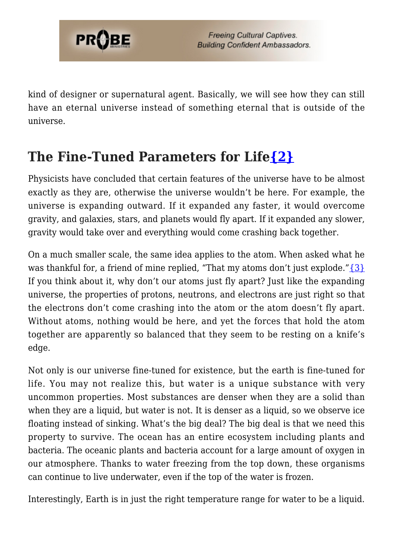

kind of designer or supernatural agent. Basically, we will see how they can still have an eternal universe instead of something eternal that is outside of the universe.

# **The Fine-Tuned Parameters for Lif[e{2}](#page-80-1)**

Physicists have concluded that certain features of the universe have to be almost exactly as they are, otherwise the universe wouldn't be here. For example, the universe is expanding outward. If it expanded any faster, it would overcome gravity, and galaxies, stars, and planets would fly apart. If it expanded any slower, gravity would take over and everything would come crashing back together.

On a much smaller scale, the same idea applies to the atom. When asked what he was thankful for, a friend of mine replied, "That my atoms don't just explode." $\{3\}$ If you think about it, why don't our atoms just fly apart? Just like the expanding universe, the properties of protons, neutrons, and electrons are just right so that the electrons don't come crashing into the atom or the atom doesn't fly apart. Without atoms, nothing would be here, and yet the forces that hold the atom together are apparently so balanced that they seem to be resting on a knife's edge.

Not only is our universe fine-tuned for existence, but the earth is fine-tuned for life. You may not realize this, but water is a unique substance with very uncommon properties. Most substances are denser when they are a solid than when they are a liquid, but water is not. It is denser as a liquid, so we observe ice floating instead of sinking. What's the big deal? The big deal is that we need this property to survive. The ocean has an entire ecosystem including plants and bacteria. The oceanic plants and bacteria account for a large amount of oxygen in our atmosphere. Thanks to water freezing from the top down, these organisms can continue to live underwater, even if the top of the water is frozen.

Interestingly, Earth is in just the right temperature range for water to be a liquid.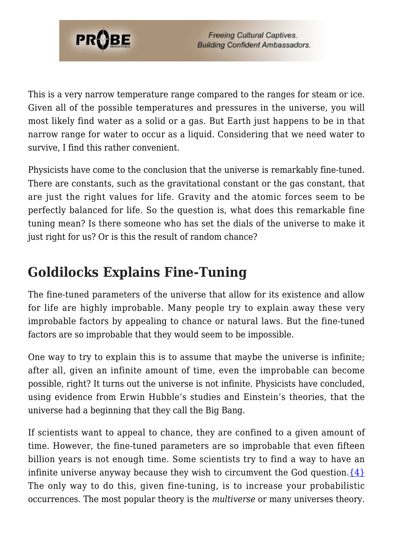

This is a very narrow temperature range compared to the ranges for steam or ice. Given all of the possible temperatures and pressures in the universe, you will most likely find water as a solid or a gas. But Earth just happens to be in that narrow range for water to occur as a liquid. Considering that we need water to survive, I find this rather convenient.

Physicists have come to the conclusion that the universe is remarkably fine-tuned. There are constants, such as the gravitational constant or the gas constant, that are just the right values for life. Gravity and the atomic forces seem to be perfectly balanced for life. So the question is, what does this remarkable fine tuning mean? Is there someone who has set the dials of the universe to make it just right for us? Or is this the result of random chance?

# **Goldilocks Explains Fine-Tuning**

The fine-tuned parameters of the universe that allow for its existence and allow for life are highly improbable. Many people try to explain away these very improbable factors by appealing to chance or natural laws. But the fine-tuned factors are so improbable that they would seem to be impossible.

One way to try to explain this is to assume that maybe the universe is infinite; after all, given an infinite amount of time, even the improbable can become possible, right? It turns out the universe is not infinite. Physicists have concluded, using evidence from Erwin Hubble's studies and Einstein's theories, that the universe had a beginning that they call the Big Bang.

If scientists want to appeal to chance, they are confined to a given amount of time. However, the fine-tuned parameters are so improbable that even fifteen billion years is not enough time. Some scientists try to find a way to have an infinite universe anyway because they wish to circumvent the God question.  $\{4\}$ The only way to do this, given fine-tuning, is to increase your probabilistic occurrences. The most popular theory is the *multiverse* or many universes theory.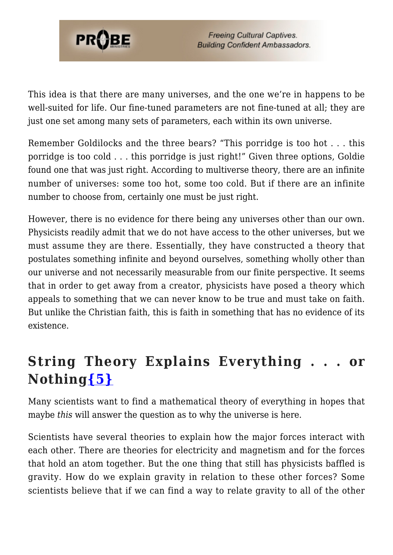

This idea is that there are many universes, and the one we're in happens to be well-suited for life. Our fine-tuned parameters are not fine-tuned at all; they are just one set among many sets of parameters, each within its own universe.

Remember Goldilocks and the three bears? "This porridge is too hot . . . this porridge is too cold . . . this porridge is just right!" Given three options, Goldie found one that was just right. According to multiverse theory, there are an infinite number of universes: some too hot, some too cold. But if there are an infinite number to choose from, certainly one must be just right.

However, there is no evidence for there being any universes other than our own. Physicists readily admit that we do not have access to the other universes, but we must assume they are there. Essentially, they have constructed a theory that postulates something infinite and beyond ourselves, something wholly other than our universe and not necessarily measurable from our finite perspective. It seems that in order to get away from a creator, physicists have posed a theory which appeals to something that we can never know to be true and must take on faith. But unlike the Christian faith, this is faith in something that has no evidence of its existence.

# **String Theory Explains Everything . . . or Nothing[{5}](#page-80-4)**

Many scientists want to find a mathematical theory of everything in hopes that maybe *this* will answer the question as to why the universe is here.

Scientists have several theories to explain how the major forces interact with each other. There are theories for electricity and magnetism and for the forces that hold an atom together. But the one thing that still has physicists baffled is gravity. How do we explain gravity in relation to these other forces? Some scientists believe that if we can find a way to relate gravity to all of the other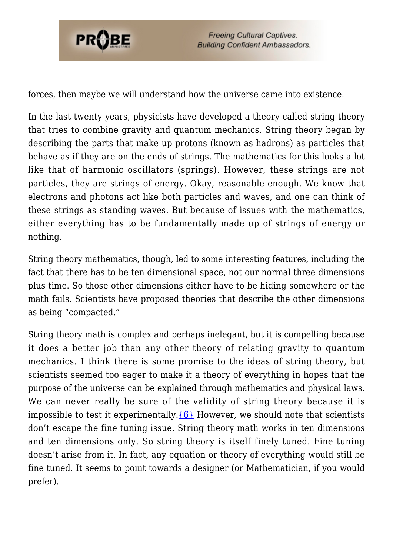

forces, then maybe we will understand how the universe came into existence.

In the last twenty years, physicists have developed a theory called string theory that tries to combine gravity and quantum mechanics. String theory began by describing the parts that make up protons (known as hadrons) as particles that behave as if they are on the ends of strings. The mathematics for this looks a lot like that of harmonic oscillators (springs). However, these strings are not particles, they are strings of energy. Okay, reasonable enough. We know that electrons and photons act like both particles and waves, and one can think of these strings as standing waves. But because of issues with the mathematics, either everything has to be fundamentally made up of strings of energy or nothing.

String theory mathematics, though, led to some interesting features, including the fact that there has to be ten dimensional space, not our normal three dimensions plus time. So those other dimensions either have to be hiding somewhere or the math fails. Scientists have proposed theories that describe the other dimensions as being "compacted."

String theory math is complex and perhaps inelegant, but it is compelling because it does a better job than any other theory of relating gravity to quantum mechanics. I think there is some promise to the ideas of string theory, but scientists seemed too eager to make it a theory of everything in hopes that the purpose of the universe can be explained through mathematics and physical laws. We can never really be sure of the validity of string theory because it is impossible to test it experimentally.  ${6}$  However, we should note that scientists don't escape the fine tuning issue. String theory math works in ten dimensions and ten dimensions only. So string theory is itself finely tuned. Fine tuning doesn't arise from it. In fact, any equation or theory of everything would still be fine tuned. It seems to point towards a designer (or Mathematician, if you would prefer).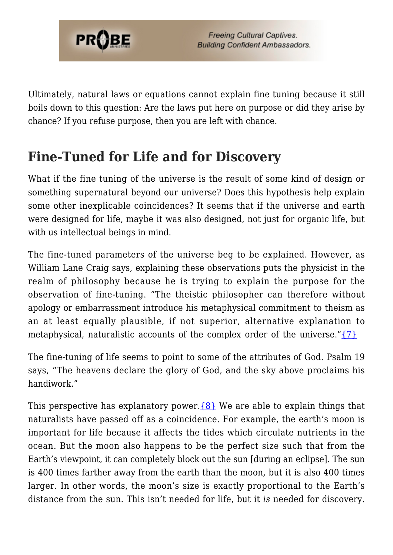

Ultimately, natural laws or equations cannot explain fine tuning because it still boils down to this question: Are the laws put here on purpose or did they arise by chance? If you refuse purpose, then you are left with chance.

# **Fine-Tuned for Life and for Discovery**

What if the fine tuning of the universe is the result of some kind of design or something supernatural beyond our universe? Does this hypothesis help explain some other inexplicable coincidences? It seems that if the universe and earth were designed for life, maybe it was also designed, not just for organic life, but with us intellectual beings in mind.

The fine-tuned parameters of the universe beg to be explained. However, as William Lane Craig says, explaining these observations puts the physicist in the realm of philosophy because he is trying to explain the purpose for the observation of fine-tuning. "The theistic philosopher can therefore without apology or embarrassment introduce his metaphysical commitment to theism as an at least equally plausible, if not superior, alternative explanation to metaphysical, naturalistic accounts of the complex order of the universe." $\{7\}$ 

The fine-tuning of life seems to point to some of the attributes of God. Psalm 19 says, "The heavens declare the glory of God, and the sky above proclaims his handiwork."

This perspective has explanatory power. ${8}$  We are able to explain things that naturalists have passed off as a coincidence. For example, the earth's moon is important for life because it affects the tides which circulate nutrients in the ocean. But the moon also happens to be the perfect size such that from the Earth's viewpoint, it can completely block out the sun [during an eclipse]. The sun is 400 times farther away from the earth than the moon, but it is also 400 times larger. In other words, the moon's size is exactly proportional to the Earth's distance from the sun. This isn't needed for life, but it *is* needed for discovery.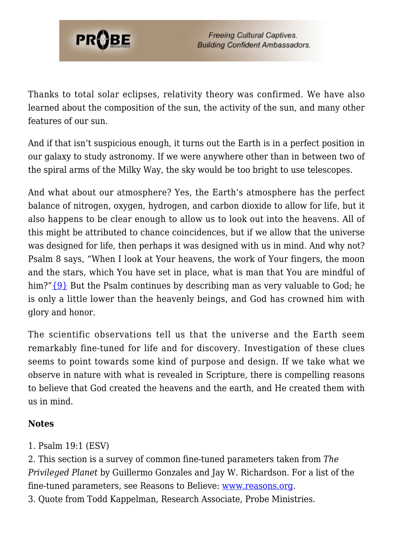

Thanks to total solar eclipses, relativity theory was confirmed. We have also learned about the composition of the sun, the activity of the sun, and many other features of our sun.

And if that isn't suspicious enough, it turns out the Earth is in a perfect position in our galaxy to study astronomy. If we were anywhere other than in between two of the spiral arms of the Milky Way, the sky would be too bright to use telescopes.

And what about our atmosphere? Yes, the Earth's atmosphere has the perfect balance of nitrogen, oxygen, hydrogen, and carbon dioxide to allow for life, but it also happens to be clear enough to allow us to look out into the heavens. All of this might be attributed to chance coincidences, but if we allow that the universe was designed for life, then perhaps it was designed with us in mind. And why not? Psalm 8 says, "When I look at Your heavens, the work of Your fingers, the moon and the stars, which You have set in place, what is man that You are mindful of him?" [{9}](#page-81-0) But the Psalm continues by describing man as very valuable to God; he is only a little lower than the heavenly beings, and God has crowned him with glory and honor.

The scientific observations tell us that the universe and the Earth seem remarkably fine-tuned for life and for discovery. Investigation of these clues seems to point towards some kind of purpose and design. If we take what we observe in nature with what is revealed in Scripture, there is compelling reasons to believe that God created the heavens and the earth, and He created them with us in mind.

#### **Notes**

1. Psalm 19:1 (ESV)

2. This section is a survey of common fine-tuned parameters taken from *The Privileged Planet* by Guillermo Gonzales and Jay W. Richardson. For a list of the fine-tuned parameters, see Reasons to Believe: [www.reasons.org](http://www.reasons.org).

3. Quote from Todd Kappelman, Research Associate, Probe Ministries.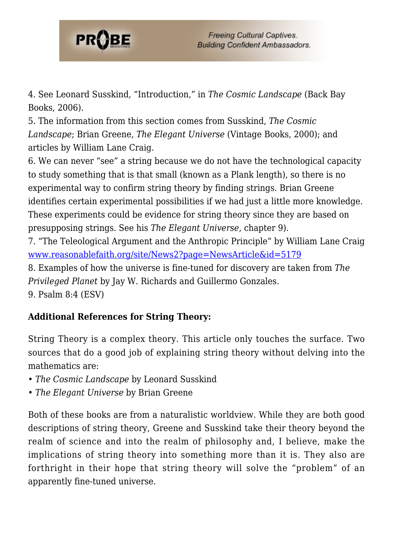

4. See Leonard Susskind, "Introduction," in *The Cosmic Landscape* (Back Bay Books, 2006).

5. The information from this section comes from Susskind, *The Cosmic Landscape*; Brian Greene, *The Elegant Universe* (Vintage Books, 2000); and articles by William Lane Craig.

6. We can never "see" a string because we do not have the technological capacity to study something that is that small (known as a Plank length), so there is no experimental way to confirm string theory by finding strings. Brian Greene identifies certain experimental possibilities if we had just a little more knowledge. These experiments could be evidence for string theory since they are based on presupposing strings. See his *The Elegant Universe*, chapter 9).

7. "The Teleological Argument and the Anthropic Principle" by William Lane Craig [www.reasonablefaith.org/site/News2?page=NewsArticle&id=5179](http://www.reasonablefaith.org/site/News2?page=NewsArticle&id=5179)

8. Examples of how the universe is fine-tuned for discovery are taken from *The Privileged Planet* by Jay W. Richards and Guillermo Gonzales. 9. Psalm 8:4 (ESV)

#### **Additional References for String Theory:**

String Theory is a complex theory. This article only touches the surface. Two sources that do a good job of explaining string theory without delving into the mathematics are:

- *The Cosmic Landscape* by Leonard Susskind
- *The Elegant Universe* by Brian Greene

Both of these books are from a naturalistic worldview. While they are both good descriptions of string theory, Greene and Susskind take their theory beyond the realm of science and into the realm of philosophy and, I believe, make the implications of string theory into something more than it is. They also are forthright in their hope that string theory will solve the "problem" of an apparently fine-tuned universe.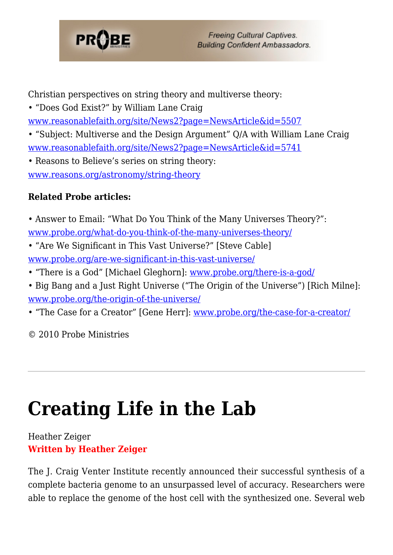

Christian perspectives on string theory and multiverse theory:

• "Does God Exist?" by William Lane Craig [www.reasonablefaith.org/site/News2?page=NewsArticle&id=5507](http://www.reasonablefaith.org/site/News2?page=NewsArticle&id=5507)

• "Subject: Multiverse and the Design Argument" Q/A with William Lane Craig [www.reasonablefaith.org/site/News2?page=NewsArticle&id=5741](http://www.reasonablefaith.org/site/News2?page=NewsArticle&id=5741)

• Reasons to Believe's series on string theory: [www.reasons.org/astronomy/string-theory](http://www.reasons.org/astronomy/string-theory)

#### **Related Probe articles:**

- Answer to Email: "What Do You Think of the Many Universes Theory?": [www.probe.org/what-do-you-think-of-the-many-universes-theory/](https://www.probe.org/what-do-you-think-of-the-many-universes-theory/)
- "Are We Significant in This Vast Universe?" [Steve Cable] [www.probe.org/are-we-significant-in-this-vast-universe/](https://www.probe.org/are-we-significant-in-this-vast-universe/)
- "There is a God" [Michael Gleghorn]: [www.probe.org/there-is-a-god/](https://www.probe.org/there-is-a-god/)
- Big Bang and a Just Right Universe ("The Origin of the Universe") [Rich Milne]: [www.probe.org/the-origin-of-the-universe/](https://www.probe.org/the-origin-of-the-universe/)

• "The Case for a Creator" [Gene Herr]: [www.probe.org/the-case-for-a-creator/](https://www.probe.org/the-case-for-a-creator/)

© 2010 Probe Ministries

# **[Creating Life in the Lab](https://probe.org/creating-life-in-the-lab/)**

#### Heather Zeiger **Written by Heather Zeiger**

The J. Craig Venter Institute recently announced their successful synthesis of a complete bacteria genome to an unsurpassed level of accuracy. Researchers were able to replace the genome of the host cell with the synthesized one. Several web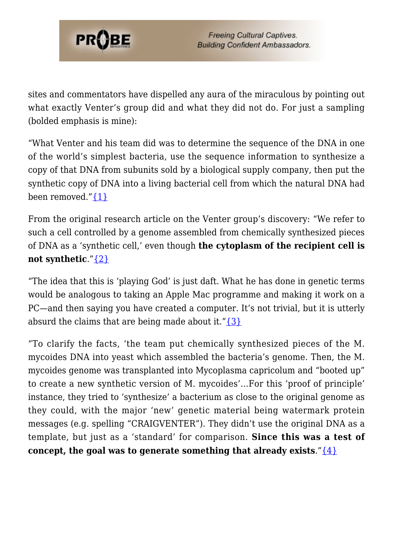

sites and commentators have dispelled any aura of the miraculous by pointing out what exactly Venter's group did and what they did not do. For just a sampling (bolded emphasis is mine):

"What Venter and his team did was to determine the sequence of the DNA in one of the world's simplest bacteria, use the sequence information to synthesize a copy of that DNA from subunits sold by a biological supply company, then put the synthetic copy of DNA into a living bacterial cell from which the natural DNA had been removed." $\{1\}$ 

From the original research article on the Venter group's discovery: "We refer to such a cell controlled by a genome assembled from chemically synthesized pieces of DNA as a 'synthetic cell,' even though **the cytoplasm of the recipient cell is not synthetic**."[{2}](#page-80-1)

"The idea that this is 'playing God' is just daft. What he has done in genetic terms would be analogous to taking an Apple Mac programme and making it work on a PC—and then saying you have created a computer. It's not trivial, but it is utterly absurd the claims that are being made about it." $\{3\}$ 

"To clarify the facts, 'the team put chemically synthesized pieces of the M. mycoides DNA into yeast which assembled the bacteria's genome. Then, the M. mycoides genome was transplanted into Mycoplasma capricolum and "booted up" to create a new synthetic version of M. mycoides'…For this 'proof of principle' instance, they tried to 'synthesize' a bacterium as close to the original genome as they could, with the major 'new' genetic material being watermark protein messages (e.g. spelling "CRAIGVENTER"). They didn't use the original DNA as a template, but just as a 'standard' for comparison. **Since this was a test of concept, the goal was to generate something that already exists."** $\{4\}$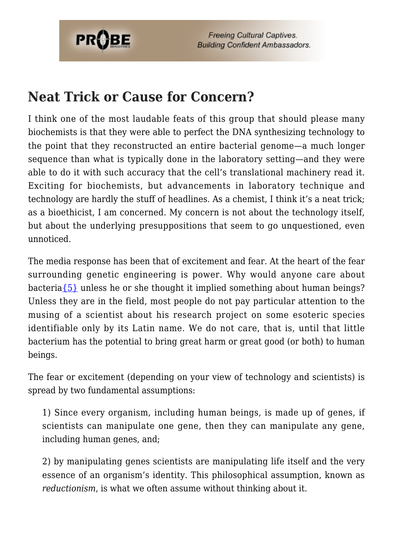

**Freeing Cultural Captives. Building Confident Ambassadors.** 

### **Neat Trick or Cause for Concern?**

I think one of the most laudable feats of this group that should please many biochemists is that they were able to perfect the DNA synthesizing technology to the point that they reconstructed an entire bacterial genome—a much longer sequence than what is typically done in the laboratory setting—and they were able to do it with such accuracy that the cell's translational machinery read it. Exciting for biochemists, but advancements in laboratory technique and technology are hardly the stuff of headlines. As a chemist, I think it's a neat trick; as a bioethicist, I am concerned. My concern is not about the technology itself, but about the underlying presuppositions that seem to go unquestioned, even unnoticed.

The media response has been that of excitement and fear. At the heart of the fear surrounding genetic engineering is power. Why would anyone care about bacteri[a{5}](#page-80-4) unless he or she thought it implied something about human beings? Unless they are in the field, most people do not pay particular attention to the musing of a scientist about his research project on some esoteric species identifiable only by its Latin name. We do not care, that is, until that little bacterium has the potential to bring great harm or great good (or both) to human beings.

The fear or excitement (depending on your view of technology and scientists) is spread by two fundamental assumptions:

1) Since every organism, including human beings, is made up of genes, if scientists can manipulate one gene, then they can manipulate any gene, including human genes, and;

2) by manipulating genes scientists are manipulating life itself and the very essence of an organism's identity. This philosophical assumption, known as *reductionism*, is what we often assume without thinking about it.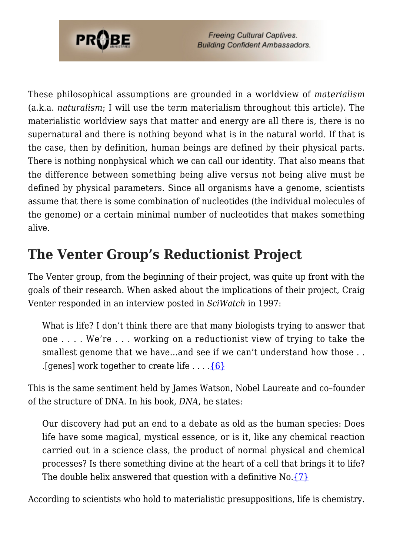

These philosophical assumptions are grounded in a worldview of *materialism* (a.k.a. *naturalism*; I will use the term materialism throughout this article). The materialistic worldview says that matter and energy are all there is, there is no supernatural and there is nothing beyond what is in the natural world. If that is the case, then by definition, human beings are defined by their physical parts. There is nothing nonphysical which we can call our identity. That also means that the difference between something being alive versus not being alive must be defined by physical parameters. Since all organisms have a genome, scientists assume that there is some combination of nucleotides (the individual molecules of the genome) or a certain minimal number of nucleotides that makes something alive.

# **The Venter Group's Reductionist Project**

The Venter group, from the beginning of their project, was quite up front with the goals of their research. When asked about the implications of their project, Craig Venter responded in an interview posted in *SciWatch* in 1997:

What is life? I don't think there are that many biologists trying to answer that one . . . . We're . . . working on a reductionist view of trying to take the smallest genome that we have...and see if we can't understand how those ... . [genes] work together to create life  $\dots$  .  $\{6\}$ 

This is the same sentiment held by James Watson, Nobel Laureate and co–founder of the structure of DNA. In his book, *DNA*, he states:

Our discovery had put an end to a debate as old as the human species: Does life have some magical, mystical essence, or is it, like any chemical reaction carried out in a science class, the product of normal physical and chemical processes? Is there something divine at the heart of a cell that brings it to life? The double helix answered that question with a definitive No.  $\{7\}$ 

According to scientists who hold to materialistic presuppositions, life is chemistry.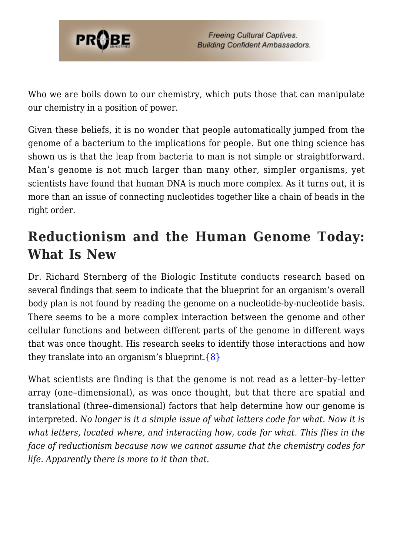

Who we are boils down to our chemistry, which puts those that can manipulate our chemistry in a position of power.

Given these beliefs, it is no wonder that people automatically jumped from the genome of a bacterium to the implications for people. But one thing science has shown us is that the leap from bacteria to man is not simple or straightforward. Man's genome is not much larger than many other, simpler organisms, yet scientists have found that human DNA is much more complex. As it turns out, it is more than an issue of connecting nucleotides together like a chain of beads in the right order.

## **Reductionism and the Human Genome Today: What Is New**

Dr. Richard Sternberg of the Biologic Institute conducts research based on several findings that seem to indicate that the blueprint for an organism's overall body plan is not found by reading the genome on a nucleotide-by-nucleotide basis. There seems to be a more complex interaction between the genome and other cellular functions and between different parts of the genome in different ways that was once thought. His research seeks to identify those interactions and how they translate into an organism's blueprint.  $\{8\}$ 

What scientists are finding is that the genome is not read as a letter–by–letter array (one–dimensional), as was once thought, but that there are spatial and translational (three–dimensional) factors that help determine how our genome is interpreted. *No longer is it a simple issue of what letters code for what. Now it is what letters, located where, and interacting how, code for what. This flies in the face of reductionism because now we cannot assume that the chemistry codes for life. Apparently there is more to it than that.*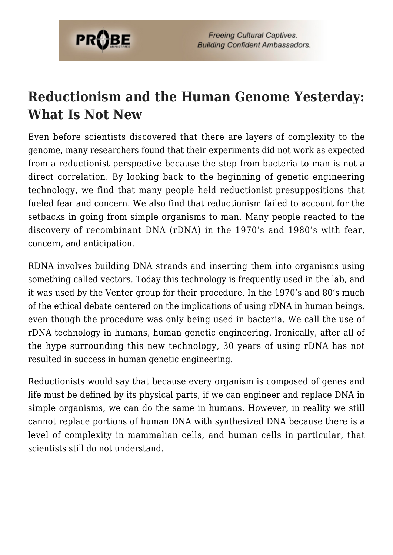

## **Reductionism and the Human Genome Yesterday: What Is Not New**

Even before scientists discovered that there are layers of complexity to the genome, many researchers found that their experiments did not work as expected from a reductionist perspective because the step from bacteria to man is not a direct correlation. By looking back to the beginning of genetic engineering technology, we find that many people held reductionist presuppositions that fueled fear and concern. We also find that reductionism failed to account for the setbacks in going from simple organisms to man. Many people reacted to the discovery of recombinant DNA (rDNA) in the 1970's and 1980's with fear, concern, and anticipation.

RDNA involves building DNA strands and inserting them into organisms using something called vectors. Today this technology is frequently used in the lab, and it was used by the Venter group for their procedure. In the 1970's and 80's much of the ethical debate centered on the implications of using rDNA in human beings, even though the procedure was only being used in bacteria. We call the use of rDNA technology in humans, human genetic engineering. Ironically, after all of the hype surrounding this new technology, 30 years of using rDNA has not resulted in success in human genetic engineering.

Reductionists would say that because every organism is composed of genes and life must be defined by its physical parts, if we can engineer and replace DNA in simple organisms, we can do the same in humans. However, in reality we still cannot replace portions of human DNA with synthesized DNA because there is a level of complexity in mammalian cells, and human cells in particular, that scientists still do not understand.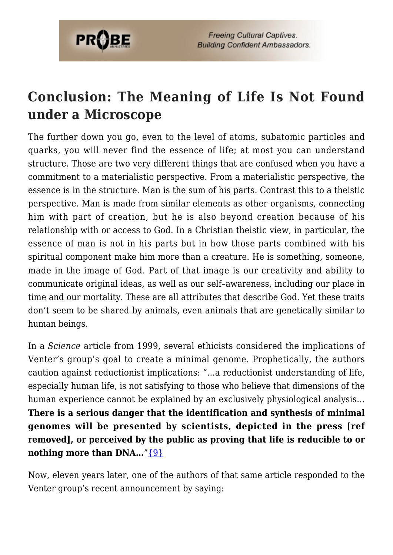

## **Conclusion: The Meaning of Life Is Not Found under a Microscope**

The further down you go, even to the level of atoms, subatomic particles and quarks, you will never find the essence of life; at most you can understand structure. Those are two very different things that are confused when you have a commitment to a materialistic perspective. From a materialistic perspective, the essence is in the structure. Man is the sum of his parts. Contrast this to a theistic perspective. Man is made from similar elements as other organisms, connecting him with part of creation, but he is also beyond creation because of his relationship with or access to God. In a Christian theistic view, in particular, the essence of man is not in his parts but in how those parts combined with his spiritual component make him more than a creature. He is something, someone, made in the image of God. Part of that image is our creativity and ability to communicate original ideas, as well as our self–awareness, including our place in time and our mortality. These are all attributes that describe God. Yet these traits don't seem to be shared by animals, even animals that are genetically similar to human beings.

In a *Science* article from 1999, several ethicists considered the implications of Venter's group's goal to create a minimal genome. Prophetically, the authors caution against reductionist implications: "…a reductionist understanding of life, especially human life, is not satisfying to those who believe that dimensions of the human experience cannot be explained by an exclusively physiological analysis… **There is a serious danger that the identification and synthesis of minimal genomes will be presented by scientists, depicted in the press [ref removed], or perceived by the public as proving that life is reducible to or nothing more than DNA...**" $\{9\}$ 

Now, eleven years later, one of the authors of that same article responded to the Venter group's recent announcement by saying: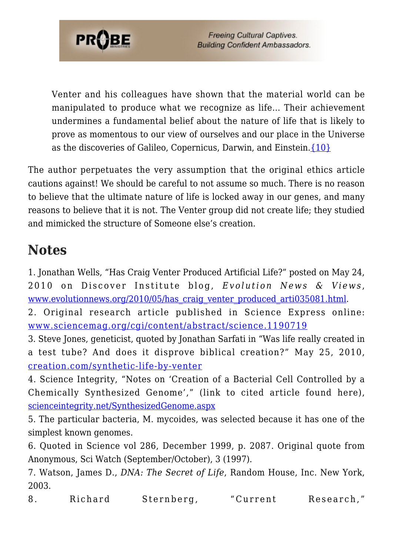

Venter and his colleagues have shown that the material world can be manipulated to produce what we recognize as life… Their achievement undermines a fundamental belief about the nature of life that is likely to prove as momentous to our view of ourselves and our place in the Universe as the discoveries of Galileo, Copernicus, Darwin, and Einstein.[{10}](#page-81-1)

The author perpetuates the very assumption that the original ethics article cautions against! We should be careful to not assume so much. There is no reason to believe that the ultimate nature of life is locked away in our genes, and many reasons to believe that it is not. The Venter group did not create life; they studied and mimicked the structure of Someone else's creation.

#### **Notes**

<span id="page-80-0"></span>1. Jonathan Wells, "Has Craig Venter Produced Artificial Life?" posted on May 24, 2010 on Discover Institute blog, *Evolution News & Views* , www.evolutionnews.org/2010/05/has craig venter produced arti035081.html.

<span id="page-80-1"></span>2. Original research article published in Science Express online: [www.sciencemag.org/cgi/content/abstract/science.1190719](http://www.sciencemag.org/cgi/content/abstract/science.1190719)

<span id="page-80-2"></span>3. Steve Jones, geneticist, quoted by Jonathan Sarfati in "Was life really created in a test tube? And does it disprove biblical creation?" May 25, 2010, [creation.com/synthetic-life-by-venter](http://creation.com/synthetic-life-by-venter)

<span id="page-80-3"></span>4. Science Integrity, "Notes on 'Creation of a Bacterial Cell Controlled by a Chemically Synthesized Genome'," (link to cited article found here), [scienceintegrity.net/SynthesizedGenome.aspx](http://scienceintegrity.net/SynthesizedGenome.aspx)

<span id="page-80-4"></span>5. The particular bacteria, M. mycoides, was selected because it has one of the simplest known genomes.

<span id="page-80-5"></span>6. Quoted in Science vol 286, December 1999, p. 2087. Original quote from Anonymous, Sci Watch (September/October), 3 (1997).

<span id="page-80-6"></span>7. Watson, James D., *DNA: The Secret of Life*, Random House, Inc. New York, 2003.

<span id="page-80-7"></span>8. Richard Sternberg, "Current Research,"